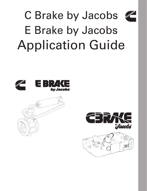

### C Brake by Jacobs E Brake by Jacobs Application Guide





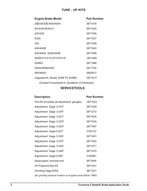| <b>Engine Brake Model</b>                   | <b>Part Number</b> |
|---------------------------------------------|--------------------|
| 25B/30/30E/400/400H                         | 3871418            |
| 401A/401B/401C                              | 3871535            |
| 420/425                                     | 3871536            |
| 425A                                        | 3871537            |
| 430                                         | 3871538            |
| 404/404B                                    | 3871540            |
| 440/440A, 450A/450B                         | 3871568            |
| 404D/411/411C/411D/411E                     | 3871580            |
| 404BG                                       | 3871586            |
| 455A/455B/455C                              | 3871704            |
| 490/490A                                    | 3800917            |
| Upgrade Kit, Model 404B TO 404BG            | 3871513            |
| (Guided Crossheads to Guideless Crossheads) |                    |

**SERVICETOOLS**

| <b>Description</b>                                          | <b>Part Number</b> |
|-------------------------------------------------------------|--------------------|
| Tool Kit (includes all adjustment gauges)                   | 3871523            |
| Adjustment Gage 0.015"                                      | 3871428            |
| Adjustment Gage 0.018"                                      | 3871272            |
| Adjustment Gage 0.021"                                      | 3871435            |
| Adjustment Gage 0.023"                                      | 3871534            |
| Adjustment Gage 0.024"                                      | 3871467            |
| Adjustment Gage 0.027"                                      | 3163172            |
| Adjustment Gage 0.030'                                      | 3871451            |
| Adjustment Gage 0.037"                                      | 3871452            |
| Adjustment Gage 0.040"                                      | 3871471            |
| Adjustment Gage 0.046"                                      | 3871470            |
| Adjustment Gage 0.090"                                      | 3163681            |
| Slave piston removal tool                                   | 3871654            |
| Oil Pressure Test Kit                                       | 3871551            |
| Grinding Gage 425A                                          | 3871221            |
| (for grinding exhaust rockers on engines built before 1980) |                    |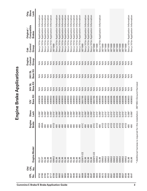| 링<br>.<br>N | <b>OID</b><br>CPL<br>.<br>N | Engine Model           | Engine<br><b>Brake</b> | Slave<br>Lash | Base Kit<br>$\geq$ | <b>Base Kit</b><br><b>24V SL</b>    | Base Kit<br>24V DL   | Control<br>Engine<br>Group | Control<br>Group<br>Cab | Compatible<br><b>Original</b><br><b>Brakes</b> | Slave<br>Orig.<br>Lash |
|-------------|-----------------------------|------------------------|------------------------|---------------|--------------------|-------------------------------------|----------------------|----------------------------|-------------------------|------------------------------------------------|------------------------|
| 8792        |                             | SL07                   | 490A                   | 0.090"        | 4089626            | $\frac{4}{2}$                       | ≶                    | $\frac{1}{2}$              |                         | See p.16 for Application Information           |                        |
| 8786        |                             | SC07                   | 490A                   | 0.090"        | 4089626            | $\frac{4}{5}$                       | $\leq$               | $\frac{1}{2}$              |                         | See p.16 for Application Information           |                        |
| 8780        |                             | <b>SL98</b>            | 490                    | 0.090"        | 4089653            | $\frac{4}{5}$                       | $\leq$               | $\frac{4}{5}$              | See                     | p.16 for Application Information               |                        |
| 8718        |                             | <b>SL98</b>            | 490                    | 0.090"        | 4089653            | $\frac{4}{5}$                       | $\frac{4}{5}$        | $\frac{4}{5}$              | See                     | p.16 for Application Information               |                        |
| 8717        |                             | <b>SL98</b>            | 490                    | 0.090"        | 4089653            | $\frac{4}{5}$                       | $\frac{4}{5}$        | $\frac{4}{5}$              |                         | See p.16 for Application Information           |                        |
| 8706        |                             | <b>SM02</b>            | 411D                   | 0.015"        | 4089395            | $\frac{4}{5}$                       | $\frac{4}{5}$        | $\frac{4}{5}$              | 3871669                 |                                                |                        |
| 8703        |                             | <b>SL98</b>            | 490                    | 0.090"        | 4089653            | $\frac{4}{5}$                       | $\frac{4}{5}$        | $\frac{4}{5}$              |                         | See p.16 for Application Information           |                        |
| 8662        |                             | <b>SL98</b>            | 490                    | 0.090"        | 4089653            | $\frac{4}{5}$                       |                      | $\frac{4}{2}$              | See                     | p.16 for Application Information               |                        |
| 8651        |                             | <b>SCTS</b>            | 490                    | 0.090"        | 4089653            | $\frac{4}{5}$                       | <b>ASS</b>           | $\frac{4}{2}$              | See                     | p.16 for Application Information               |                        |
| 8650        |                             | <b>SC<sub>1</sub>S</b> | 490                    | 0.090"        | 4089653            | $\frac{4}{5}$                       |                      | $\frac{4}{5}$              | See <sup>-</sup>        | p.16 for Application Information               |                        |
| 8648        |                             | <b>SL38</b>            |                        | 0.090"        | 4089653            | $\frac{4}{5}$                       | $\frac{4}{5}$        | $\frac{4}{2}$              | See                     | p.16 for Application Information               |                        |
| 8647        |                             | <b>SL38</b>            |                        | 0.090"        | 4089653            | $rac{4}{2}$                         |                      | $\frac{4}{5}$              | See                     | p.16 for Application Information               |                        |
| 8646        |                             | <b>SL98</b>            |                        | 0.090"        | 4089653            |                                     | $rac{4}{2}$          | $\frac{4}{5}$              | See                     | p.16 for Application Information               |                        |
| 8643        |                             | <b>SL98</b>            |                        | 0.090"        | 4089653            | $\frac{4}{2}$                       | $\frac{4}{2}$        | $\frac{4}{5}$              |                         | See p.16 for Application Information           |                        |
| 8641        |                             | <b>SL98</b>            | 490                    | 0.090"        | 4089653            | $\leq$                              | $\frac{4}{\sqrt{2}}$ | $\frac{4}{5}$              |                         | See p.16 for Application Information           |                        |
| 8608        |                             | <b>QSM11-CE</b>        | 411C                   | $0.015$ "     | 3800765            | $\leq$                              |                      | $\frac{4}{5}$              | 3871669                 |                                                |                        |
| 8600        |                             | <b>SL38</b>            | 490                    | 0.090"        | 4089653            | $\leq$                              |                      | $\leq$                     |                         | See p.16 for Application Information           |                        |
| 8548        |                             | <b>SCTS</b>            | 490                    | 0.090"        | 4089653            | $\leq$                              |                      | $\leq$                     | See                     | p.16 for Application Information               |                        |
| 8547        |                             | <b>SL38</b>            | 490                    | 0.090"        | 4089653            | $\leq$                              | 2222                 | $\frac{4}{5}$              |                         | See p.16 for Application Information           |                        |
| 8608        |                             | 2SM11-CE               | 411C                   | 0.015"        | 3800765            | $\frac{4}{5}$                       |                      | $\frac{4}{5}$              | 3871669                 |                                                |                        |
| 8603        |                             | ISM02                  | 411D                   | 0.015"        | 4089395            | <b>ARAKA</b><br>ARAKA               |                      |                            | 3871669                 |                                                |                        |
| 8600        |                             | <b>SL98</b>            | 490                    | 0.090"        | 4089653            |                                     |                      |                            |                         | See p.16 for Application Information           |                        |
| 8572        |                             | ISM02                  | 411D                   | $0.015$ "     | 4089395            |                                     |                      |                            | 3871669                 |                                                |                        |
| 8563        |                             | ISM02                  | 411D                   | $0.015$ "     | 4089395            |                                     |                      |                            | 3871669                 |                                                |                        |
| 8562        |                             | ISM02                  | 411D                   | $0.015$ "     | 4089395            | $\frac{4}{5}$                       |                      | $\frac{4}{5}$              | 3871669                 |                                                |                        |
| 8561        |                             | ISM02                  | 411D                   | 0.015"        | 4089395            | $rac{4}{2}$ $rac{4}{2}$ $rac{4}{2}$ |                      | $\frac{4}{5}$              | 3871669                 |                                                |                        |
| 8560        |                             | ISM02                  | 411D                   | 0.015"        | 4089395            |                                     |                      | $\frac{4}{5}$              | 3871669                 |                                                |                        |
| 8559        |                             | SM02                   | 411D                   | 0.015"        | 4089395            |                                     |                      | $\frac{4}{5}$              | 3871669                 |                                                |                        |
| 8558        |                             | <b>ISM02</b>           | 411D                   | 0.015"        | 4089395            | $\frac{4}{5}$                       |                      | $\frac{4}{5}$              | 3871669                 |                                                |                        |
| 8557        |                             | SM02                   | 411D                   | 0.015"        | 4089395            | $\frac{4}{5}$                       |                      | $\frac{4}{5}$              | 3871669                 |                                                |                        |
| 8556        |                             | SM02                   | 411D                   | $0.015$ "     | 4089395            | $\frac{4}{\sqrt{2}}$                | $\frac{4}{5}$        | $\frac{4}{2}$              | 3871669                 |                                                |                        |
| 8548        |                             | <b>SL98</b>            | 490                    | 0.090"        | 4089653            | $\frac{4}{2}$                       | $\frac{4}{5}$        | $\frac{4}{2}$              |                         | See p.16 for Application Information           |                        |
| 8547        |                             | <b>SL98</b>            | 490                    | 0.090"        | 4089653            | $\frac{4}{5}$                       | $\frac{4}{5}$        | $\frac{1}{2}$              |                         | See p.16 for Application Information           |                        |

Engine Brake Applications **Engine Brake Applications**

\* Additional harness is required for this installation - 3871653 (Ground Harness)

\* Additional harness is required for this installation - 3871653 (Ground Harness)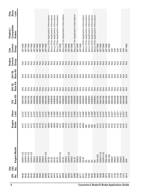| GPL<br>ف<br>S<br><b>DIO</b><br>공<br>。<br>2 | 8546            | 8545          | 8544     | 8543                                | 8506              | 8505    | 8504    | 8503                      | 8495     | 8476                                 | 8475                                 | 8474                                 | 8473                                 | 8471     | 8458                        | 8427    | 8409             | 8377    | 8389                        | 8309              | 8271    | 8221                                 | 8158                             | 8106                                 | 8042                                 | 2946                                       | 2830    | 2829     | 2828     | 2812          | 2809    | 2731          | 2730          | 2729          | 2728              |
|--------------------------------------------|-----------------|---------------|----------|-------------------------------------|-------------------|---------|---------|---------------------------|----------|--------------------------------------|--------------------------------------|--------------------------------------|--------------------------------------|----------|-----------------------------|---------|------------------|---------|-----------------------------|-------------------|---------|--------------------------------------|----------------------------------|--------------------------------------|--------------------------------------|--------------------------------------------|---------|----------|----------|---------------|---------|---------------|---------------|---------------|-------------------|
| Engine Model                               | <b>QSM11-CE</b> | QSM11-CE      | QSM11-CE | QSM11-CE                            | ISM <sub>02</sub> | ISM02   | ISM02   | <b>ISM02</b>              | QSM11-CE | <b>ISL03</b>                         | ISL03                                | ISL03                                | ISL <sub>03</sub>                    | QSM11-CE | ISL03                       | ISM02   | <b>QSM11-CE</b>  | ISM02   | ISL03                       | ISM <sub>02</sub> | ISM02   | SL03                                 | $\overline{\mathrm{s}}$          | ದ                                    | ದ                                    | $\overline{\omega}$                        | SM 425  | QSM11-CE | QSM11-CE | <b>SM 425</b> | SM 425  | ISM07         | ISM07         | ISM07         | SM07              |
| Engine<br><b>Brake</b>                     | 111C            | 411 C         | 411C     | 411C                                | 411D              | 411D    | 411D    | 411D                      | 411C     | <b>A90A</b>                          | A064                                 | 490A                                 | 490A                                 | 411C     | <b>A064</b>                 | 411D    | 411C             | 411D    | <b>A90A</b>                 | 411D              | 411D    | <b>A90A</b>                          | 490                              | 490                                  | 490                                  | 490                                        | 411C    | 411C     | 411C     | 411C          | 411E    |               | 411E          | 411E          | 411E              |
| Slave<br>Lash                              | $0.015$ "       | 0.015"        | 0.015"   | 0.015"                              | 0.015"            | 0.015"  |         | 0.015"<br>0.015<br>0.015" |          | 0.090"                               | 0.090"                               | 0.090"                               | 0.090"                               | 0.015"   | 0.090"                      | 0.015"  | 0.015"<br>0.015" |         | 0.090"                      | 0.015"            | 0.015"  | 0.090"                               |                                  | 0.090"                               | 0.090"                               | 0.090"                                     | 0.015"  | 0.015"   | 0.015"   | 0.015"        | 0.015"  | $0.027$ "     | $0.027$ "     | $0.027$ "     | $0.027$ "         |
| Base Kit<br>12V                            | 3800765         | 3800765       | 3800765  | 3800765                             | 4089395           | 4089395 | 4089395 | 4089395                   | 3800765  | 4089626                              | 4089626                              | 4089626                              | 4089626                              | 3800765  | 4089626                     | 4089395 | 3800765          | 4089395 | 4089626                     | 4089395           | 4089395 | 4089626                              | 4089653                          | 4089653                              | 4089653                              | 4089653                                    | 3800765 | 3800765  | 3800765  | 3800765       | 3800765 | 4955458       | 4955458       | 4955458       | 4955458           |
| Base Kit<br><b>24V SL</b>                  | ≶               |               |          |                                     |                   |         |         |                           |          |                                      |                                      |                                      |                                      |          |                             |         |                  |         |                             |                   |         |                                      |                                  |                                      |                                      |                                            |         |          |          |               |         |               |               | $\frac{4}{5}$ | E ≷<br>≷<br>S ≥ ≥ |
| Base Kit<br><b>24V DL</b>                  | ≶               | $\frac{4}{5}$ |          | $rac{4}{2}$ $rac{4}{2}$ $rac{4}{2}$ |                   |         |         |                           |          |                                      |                                      |                                      | 22222                                |          |                             |         |                  | 2222    |                             |                   |         | $2222$                               |                                  | $\frac{4}{5}$                        |                                      | S S S S S S S S S<br>T T T T T T T T T T T |         |          |          |               |         |               |               | $\frac{4}{5}$ | $\leq \leq$       |
| Control<br>Engine<br>Group                 | ⋚               | $\frac{4}{5}$ |          | $rac{4}{5}$                         | $\frac{4}{5}$     |         |         | $2222$                    |          |                                      |                                      |                                      |                                      |          |                             |         |                  |         |                             |                   |         |                                      |                                  |                                      |                                      |                                            |         |          |          |               |         |               |               | $\frac{4}{5}$ | E ≷<br>≷<br>S ≥ ≥ |
| Control<br>Group<br>Cab                    | 3871669         | 3871669       | 3871669  | 3871669                             | 3871669           | 3871669 | 3871669 | 3871669                   | 3871669  |                                      |                                      |                                      |                                      | 3871669  | See p.16                    | 3871669 | 3871669          | 3871669 | See p.16                    | 3871669           | 3871669 |                                      | See                              |                                      |                                      |                                            | 3871669 | 3871669  | 3871669  | 3871669       | 3871669 | $\frac{1}{2}$ | $\frac{1}{2}$ | $\frac{1}{2}$ | $\frac{1}{2}$     |
| Compatible<br>Original /<br><b>Brakes</b>  |                 |               |          |                                     |                   |         |         |                           |          | See p.16 for Application Information | See p.16 for Application Information | See p.16 for Application Information | See p.16 for Application Information |          | for Application Information |         |                  |         | for Application Information |                   |         | See p.16 for Application Information | p.16 for Application Information | See p.16 for Application Information | See p.16 for Application Information | See p.16 for Application Information       |         |          |          |               |         |               |               |               |                   |
| Slave<br>Orig.<br>Lash                     |                 |               |          |                                     |                   |         |         |                           |          |                                      |                                      |                                      |                                      |          |                             |         |                  |         |                             |                   |         |                                      |                                  |                                      |                                      |                                            |         |          |          |               |         |               |               |               |                   |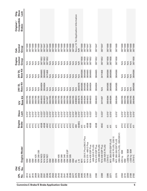| <b>OPL</b><br>$\overline{O}$<br>。<br>2 | Engine Model                  | Engine<br><b>Brake</b> | Slave<br>Lash | Base Kit<br>12V | <b>Base Kit</b><br><b>24V SL</b>       | <b>Base Kit</b><br><b>24V DL</b>       | Control<br>Engine<br>Group             | Control<br>Group<br>Cab | Compatible<br>Original /<br><b>Brakes</b> | Slave<br>Orig.<br>Lash |
|----------------------------------------|-------------------------------|------------------------|---------------|-----------------|----------------------------------------|----------------------------------------|----------------------------------------|-------------------------|-------------------------------------------|------------------------|
|                                        | SΜ                            | 411C                   | $0.015$ "     | 3800765         | $\frac{\triangleleft}{\triangleright}$ | $\frac{\triangleleft}{\triangleright}$ | $\frac{\triangleleft}{\triangleright}$ | 3871669                 |                                           |                        |
|                                        | <b>SM</b>                     | 411C                   | 0.015"        | 3800765         | $\frac{4}{2}$                          | $\frac{4}{2}$                          | $\frac{4}{2}$                          | 3871669                 |                                           |                        |
|                                        | SM                            | 411 C                  | $0.015$ "     | 3800765         | $\leq$                                 | $\leq$                                 | $\leq$                                 | 3871669                 |                                           |                        |
|                                        | SM 425                        | 411C                   | 0.015"        | 3800765         | $\frac{4}{2}$                          | $\frac{4}{2}$                          | $\frac{4}{2}$                          | 3871669                 |                                           |                        |
|                                        | SM 280-330                    | 411C                   | $0.015$ "     | 3800765         | $\frac{4}{2}$                          | $\leq$                                 | $\frac{4}{2}$                          | 3871669                 |                                           |                        |
|                                        | N14 NE3                       | 455B                   | 0.023"        | 3804603         | 3804604                                | 3804665                                | 3871652                                | 3871647                 |                                           |                        |
|                                        | <b>N14 NE2</b>                | 455B                   | 0.023"        | 3804603         | 3804604                                | 3804665                                | 3871652                                | 3871647                 |                                           |                        |
|                                        | <b>N14 NE1</b>                | 455C                   | 0.023"        | 3411467         | $M \triangle$                          | 3411468                                | 3871652                                | 3871647                 |                                           |                        |
| ISM                                    |                               | 411C                   | 0.015"        | 3800765         | N/A                                    | $\leq$                                 | $\frac{4}{2}$                          | 3871669                 |                                           |                        |
| ISM                                    |                               | 411C                   | 0.015"        | 3800765         | $\frac{4}{2}$                          | $\frac{4}{2}$                          | $\frac{4}{2}$                          | 3871669                 |                                           |                        |
| <b>NSI</b>                             |                               | 411C                   | 0.015"        | 3800765         | $\frac{4}{5}$                          | $\frac{4}{2}$                          | $\frac{4}{2}$                          | 3871669                 |                                           |                        |
|                                        | SM 405                        | 411C                   | 0.015"        | 3800765         | $\frac{4}{2}$                          | $\leq$                                 | $\frac{4}{2}$                          | 3871669                 |                                           |                        |
|                                        | SM 380                        | 411C                   | 0.015"        | 3800765         | $\frac{4}{2}$                          | $\leq$                                 | $\frac{4}{2}$                          | 3871669                 |                                           |                        |
|                                        | ISM 340                       | 411C                   | 0.015"        | 3800765         | $\frac{\mathsf{A}}{\mathsf{B}}$        | $\frac{4}{2}$                          | $\frac{\mathsf{A}}{\mathsf{B}}$        | 3871669                 |                                           |                        |
|                                        | SM 305 ESP                    | 411C                   | 0.015"        | 3800765         | $\frac{4}{2}$                          | $\frac{4}{2}$                          | $\frac{4}{2}$                          | 3871669                 |                                           |                        |
|                                        | ISM 305                       | 411C                   | 0.015"        | 3800765         | <b>N/A</b>                             | <b>N/A</b>                             | <b>N/A</b>                             | 3871669                 |                                           |                        |
| <b>NSI</b>                             |                               | 411C                   | 0.015"        | 3800765         | $\frac{4}{2}$                          | $\leq$                                 | $\frac{4}{2}$                          | 3871669                 |                                           |                        |
| $\overline{S}$                         |                               | 490                    | 0.090"        | 4089653         | $\frac{4}{2}$                          | $\leq$                                 | $\frac{4}{2}$                          |                         | See p.16 for Application Information      |                        |
| 10                                     |                               | 404BG                  | 0.015"        | 3804575         | 3804576                                | $\frac{4}{2}$                          | <b>NR</b>                              | <b>NR</b>               |                                           |                        |
| $\overline{M}$ 11                      |                               | 411                    | 0.015"        | 3804584         | 3804585                                | 3804586                                | 3871658                                | 3871669                 |                                           |                        |
|                                        | M11-330 E Plus/280 E Plus     | 411                    | $0.015$ "     | 3804584         | 3804585                                | 3804586                                | 3871658                                | 3871669                 |                                           |                        |
|                                        | N14 370 - 460 E Plus          | 455B                   | $0.023$ "     | 3804603         | 3804604                                | 3804665                                | 3871652                                | 3871647                 |                                           |                        |
|                                        | N14-435 ESP Plus              | 455B                   | $0.023$ "     | 3804603         | 3804604                                | 3804665                                | 3871652                                | 3871647                 |                                           |                        |
|                                        | (435-525 E PLUS)              |                        |               |                 |                                        |                                        |                                        |                         |                                           |                        |
|                                        | N14-370 ESP Plus              | 455B                   | $0.023$ "     | 3804603         | 3804604                                | 3804665                                | 3871652                                | 3871647                 |                                           |                        |
|                                        | (370-460 E PLUS)              |                        |               |                 |                                        |                                        |                                        |                         |                                           |                        |
|                                        | N14-330 ESP Plus              | 455C                   | $0.023$ "     | 3411467         | $\frac{4}{2}$                          | 3411468                                | 3871652                                | 3871647                 |                                           |                        |
|                                        | 330-425 E PLUS)               |                        |               |                 |                                        |                                        |                                        |                         |                                           |                        |
|                                        | LTA10-C                       | 411                    | $0.015$ "     | 3804584         | 3804585                                | 3804586                                | 3871658                                | 3871669                 |                                           |                        |
|                                        | M11 350-370 ESP PLUS          | 411                    | 0.015"        | 3804584         | 3804585                                | 3804586                                | 3871658                                | 3871669                 |                                           |                        |
|                                        | (330-450 E PLUS), (335 V)     |                        |               |                 |                                        |                                        |                                        |                         |                                           |                        |
|                                        | M11 280-330 ESP PLUS          | 411                    | $0.015$ "     | 3804584         | 3804585                                | 3804586                                | 3871658                                | 3871669                 |                                           |                        |
|                                        | (280-350 E PLUS), (305/335 V) |                        |               |                 |                                        |                                        |                                        |                         |                                           |                        |
|                                        | 425 hp ISM                    | 411C                   | $0.015$ "     | 3800765         | $\frac{4}{2}$                          | $\frac{4}{2}$                          | $\frac{4}{2}$                          | 3871669                 |                                           |                        |
|                                        | <b>ISM</b>                    | 411C                   | 0.015"        | 3800765         | $\leq$                                 | $\leq$                                 | $\leq$                                 | 3871669                 |                                           |                        |
|                                        | S30 hp ISM                    | 411C                   | 0.015"        | 3800765         | $\frac{4}{2}$                          | $\leq$                                 | $\frac{4}{2}$                          | 3871669                 |                                           |                        |
|                                        | <b>ISM</b><br>$330$ hp        | 411C                   | 0.015"        | 3800765         | N/A                                    | $M\triangle$                           | N/A                                    | 3871669                 |                                           |                        |
|                                        | LTA10-C                       | 411                    | 0.015"        | 3804584         | 3804585                                | 3804586                                | 3871658                                | 3871669                 |                                           |                        |

 $\mathbf{r}$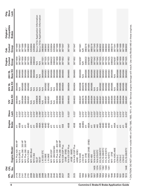|                       | $\overline{O}$      |                                                                                                                                                    |                        |               |                 |                           |                                   | Engine           | Cab              | Original /                           | Orig.         |
|-----------------------|---------------------|----------------------------------------------------------------------------------------------------------------------------------------------------|------------------------|---------------|-----------------|---------------------------|-----------------------------------|------------------|------------------|--------------------------------------|---------------|
| <b>PL</b><br><u>ş</u> | <b>PL</b><br>ف<br>N | Engine Model                                                                                                                                       | Engine<br><b>Brake</b> | Slave<br>Lash | Base Kit<br>12V | <b>Base Kit</b><br>24V SL | Base Kit<br>24V DL                | Control<br>Group | Control<br>Group | Compatible<br><b>Brakes</b>          | Slave<br>Lash |
| 2178                  |                     | -450 HP<br><b>M11 Plus 420</b>                                                                                                                     | 41                     | <b>1.015</b>  | 3804584         | 3804585                   | 3804586                           | 3871658          | 3871669          |                                      |               |
| 2143                  |                     | N14 EURO II                                                                                                                                        | 455B                   | 0.023         | $\frac{4}{2}$   | $\frac{4}{2}$             | 3804665                           | 3871652*         | 3871647          |                                      |               |
| 2141                  |                     | V11 Plus 280 - 330 HP                                                                                                                              | 41                     | $-5n$         | 3804584         | 3804585                   | 3804586                           | 3871658          | 3871669          |                                      |               |
| 2140                  |                     | M11 Plus 280 - 330 HP                                                                                                                              | 411                    | 1.015"        | 3804584         | 3804585                   | 3804586                           | 3871658          | 3871669          |                                      |               |
| 2119                  |                     | <b>MTA11-C300</b>                                                                                                                                  | 404D                   | 0.015"        | 3804581         | 3804582                   | 3804583                           | 3871525          | 3883602          |                                      |               |
| 2099                  |                     | M11 305 (Bus)                                                                                                                                      | 411                    | "210.         | <b>N/A</b>      | $M \triangle$             | 3804586                           | 3080422          | 3255804          |                                      |               |
| 2097                  |                     | M113 350                                                                                                                                           | 411                    | $0.015$ "     | $\frac{4}{2}$   | $\frac{4}{2}$             | 3804586                           | 3080422          | 3255804          |                                      |               |
| 2087                  |                     | <b>ISL07</b>                                                                                                                                       | <b>A004</b>            | 0.090"        | 4089626         | $\leq$                    | $\leq$                            | $M\triangle$     |                  | See p.16 for Application Information |               |
| 2085                  |                     | ISC07                                                                                                                                              | A90A                   | "090"         | 4089626         | $\leq$                    | $\frac{4}{2}$                     | $M \triangle$    |                  | See p.16 for Application Information |               |
| 2068                  |                     | $-10325STC$                                                                                                                                        | 404D                   | .015"         | $\frac{4}{2}$   | $\frac{4}{2}$             | 3804580                           | 3871531          | 3883602          |                                      |               |
| 2067                  |                     | $-10-280E$                                                                                                                                         | 404D                   | 015"          | 3804581         | 3804582                   | 3804583                           | 3871525          | 3883602          |                                      |               |
| 2066                  |                     | $-10 - 280E$                                                                                                                                       | 404D                   | 0.015         | 3804581         | 3804582                   | 3804583                           | 3871525          | 3883602          |                                      |               |
| 2042                  |                     | <b>M11 305 ESP</b>                                                                                                                                 | 411                    | 0.015         | $\frac{4}{2}$   | $\leq$                    | 3804586                           | 3080422          | 3255804          |                                      |               |
| 2040                  |                     | M11 280/330/340                                                                                                                                    | 41                     | 0.015         | $\frac{1}{2}$   | $\frac{4}{2}$             | 3804586                           | 3080422          | 3255804          |                                      |               |
| 2037                  |                     | M11 Plus 330 - 400 HP                                                                                                                              | 411                    | 0.015"        | 3804584         | 3804585                   | 3804586                           | 3871658          | 3871669          |                                      |               |
| 2036                  |                     | V11 Plus 280 - 330 HP                                                                                                                              | 411                    | $0.015$ "     | 3804584         | 3804585                   | 3804586                           | 3871658          | 3871669          |                                      |               |
| 2027                  |                     | N14-330 ESP Plus                                                                                                                                   | 55B                    | 0.023         | 3804603         | 3804604                   | 3804665                           | 3871652          | 3871647          |                                      |               |
|                       |                     | $(310E - 370E)$                                                                                                                                    |                        |               |                 |                           |                                   |                  |                  |                                      |               |
| 2026                  |                     | <b>V14-370 ESP Plus</b>                                                                                                                            | 455B                   | 0.023         | 3804603         | 3804604                   | 3804665                           | 3871652          | 3871647          |                                      |               |
|                       |                     | $(410E - 500E)$                                                                                                                                    |                        |               |                 |                           |                                   |                  |                  |                                      |               |
| 2025                  |                     | N14-435 ESP Plus                                                                                                                                   | 455B                   | $0.023$ "     | 3804603         | 3804604                   | 3804665                           | 3871652          | 3871647          |                                      |               |
|                       |                     | 435E - 525E)                                                                                                                                       |                        |               |                 |                           |                                   |                  |                  |                                      |               |
| 2003                  |                     | N14500E                                                                                                                                            | 450B                   | $0.023$ "     | 3804597         | 3804598                   | 3804599                           | 3074287          | 3871661          |                                      |               |
| 1994                  |                     | $TA10-B$                                                                                                                                           | 404BG                  | 1.015"        | 3804575         | 3804576                   | $\leq$                            | <b>WR</b>        | <b>WR</b>        |                                      |               |
| 1991                  |                     | M11 370E                                                                                                                                           | 411                    | $0.015$ "     | 3804584         | 3804585                   | 3804586                           | 3080422          | 3883216          |                                      |               |
| 1987                  |                     | N14-350E (310E - 370E)                                                                                                                             | 450A                   | 0.023         | 3804594         | 3804595                   | 3804596                           | 3074287          | 3871661          |                                      |               |
| 1973                  |                     | M11-400                                                                                                                                            | 411                    | 1.015"        | 3804584         | 3804585                   | 3804586                           | 3080422          | 3883216          |                                      |               |
| 1957                  | 1405                | N14-410/STC                                                                                                                                        | 440                    | 0.023         | 3804591         | $M \triangle$             | 3804592                           | 3871542          | 3871543          |                                      |               |
| 1956                  | 1374                | V14-370/STC                                                                                                                                        | 440                    | .023"         | 3804591         | $\leq$                    | 3804592                           | 3871542          | 3871543          |                                      |               |
| 1954                  | 1373                | 91L10-260/STC                                                                                                                                      | 404D                   | .015"<br>0    | 3804581         | 3804582                   | 3804583                           | 3871525          | 3883602          |                                      |               |
| 1953                  | 1362                | 91L10-280/STC                                                                                                                                      | 404D                   | 0.015"        | 3804581         | 3804582                   | 3804583                           | 3871525          | 3883602          |                                      |               |
| 1952                  | 1349                | 91L10-310/STC                                                                                                                                      | 404D                   | 1.015"        | 3804581         | 3804582                   | 3804583                           | 3871525          | 3883602          |                                      |               |
| 1951                  | 1241                | 91L10/STC                                                                                                                                          | 404D                   | 1.015"        | 3804581         | 3804582                   | 3804583                           | 3871525          | 3883602          |                                      |               |
| 1946                  |                     | M11-370E                                                                                                                                           | 411                    | 0.015"        | 3804584         | 3804585                   | 3804586                           | 3080422          | 3883216          |                                      |               |
| 1944                  |                     | N14430E,460E                                                                                                                                       | 440A                   | 0.023         | 3804593         | $\frac{4}{2}$             | $\frac{\triangleleft}{\triangle}$ | 3074287          | 3871541          |                                      |               |
| 1933                  |                     | LTA10-C                                                                                                                                            | 411                    | $-5n$<br>0    | 3804584         | 3804585                   | 3804586                           | 3871658          | 3871669          |                                      |               |
| 1931                  |                     | $TA10-C$                                                                                                                                           | 411                    | $0.015$ "     | 3804584         | 3804585                   | 3804586                           | 3871658          | 3871669          |                                      |               |
| 1930                  |                     | $TA10-C$                                                                                                                                           | 411                    | $0.015$ "     | 3804584         | 3804585                   | 3804586                           | 3871658          | 3871669          |                                      |               |
| 1913                  | 1448                | 91L10-260/STC                                                                                                                                      | 404D                   | $-510^{10}$   | 3804581         | 3804582                   | 3804583                           | 3871525          | 3883602          |                                      |               |
|                       |                     | * CAUTION! DO NOT use former model 445 on CPL's 1580, 1583, 1611, or 1831. Serious engine damage will result. Use only Model 440 on these engines. |                        |               |                 |                           |                                   |                  |                  |                                      |               |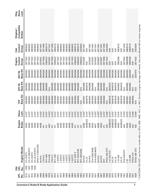| 91L10/STC<br>1449<br>1450<br>1447 | Engine Model        | Engine<br><b>Brake</b> | Slave          | <b>Base Kit</b><br>12V | <b>Base Kit</b><br><b>24V SL</b> | <b>24V DL</b> | Control<br>Engine | Control<br>Cab | Compatible<br>Original / | Slave<br>Orig. |
|-----------------------------------|---------------------|------------------------|----------------|------------------------|----------------------------------|---------------|-------------------|----------------|--------------------------|----------------|
|                                   |                     |                        | Lash           |                        |                                  | Base Kit      | Group             | Group          | <b>Brakes</b>            | Lash           |
|                                   |                     | 404D                   | $0.015$ "<br>0 | 3804581                | 3804582                          | 3804583       | 3871525           | 3883602        |                          |                |
|                                   | 91L10-280/STC       | 404D                   | 0.015          | 3804581                | 3804582                          | 3804583       | 3871525           | 3883602        |                          |                |
|                                   | 91L10/STC           | 404D                   | 1.015"         | 3804581                | 3804582                          | 3804583       | 3871525           | 3883602        |                          |                |
|                                   | 91L10-310/STC       | 404D                   | 1.015"         | 3804581                | 3804582                          | 3804583       | 3871525           | 3883602        |                          |                |
|                                   | MTA11-C330/C350     | 404D                   | 1.015"         | 3804581                | 3804582                          | 3804583       | 3871525           | 3883602        |                          |                |
| 94 N14                            |                     | 450B                   | 0.023"         | 3804597                | 3804598                          | 3804599       | 3074287           | 3871661        |                          |                |
|                                   | $TAMO-C$            | 411                    | $0.015$ "      | 3804584                | 3804585                          | 3804586       | 3871658           | 3871669        |                          |                |
|                                   | M11-400             | 411                    | $0.015$ "      | 3804584                | 3804585                          | 3804586       | 3080422           | 3883216        |                          |                |
|                                   | N14-430             | 440*                   | 0.023          | 3804591                | $\frac{4}{2}$                    | 3804592       | 3074287           | 3871541        |                          |                |
|                                   | $TA10-C$            | 411                    | $0.015$ "      | 3804584                | 3804585                          | 3804586       | 3871658           | 3871669        |                          |                |
|                                   | $M11-280$           | 411                    | .015"          | 3804584                | 3804585                          | 3804586       | 3080422           | 3883216        |                          |                |
|                                   | $-10/STC$           | 404D                   | 1.015"         | 3804581                | 3804582                          | 3804583       | 3871525           | 3883602        |                          |                |
|                                   | $-10/STC$           | 404D                   | 0.015"         | 3804581                | 3804582                          | 3804583       | 3871525           | 3883602        |                          |                |
|                                   | $-10/STC$           | 404D                   | $0.015$ "      | 3804581                | 3804582                          | 3804583       | 3871525           | 3883602        |                          |                |
|                                   | 10/STC              | 404D                   | 0.015          | 3804581                | 3804582                          | 3804583       | 3871525           | 3883602        |                          |                |
|                                   | $-10/STC$           | 404D                   | "210.0         | 3804581                | 3804582                          | 3804583       | 3871525           | 3883602        |                          |                |
|                                   | $-10/STC$           | 404D                   | 0.015          | 3804581                | 3804582                          | 3804583       | 3871525           | 3883602        |                          |                |
|                                   | M11 ESP II          | 411                    | .015           | 3804584                | 3804585                          | 3804586       | 3080422           | 3883216        |                          |                |
|                                   | M11-330/370E        | 411                    | 1.015"         | 3804584                | 3804585                          | 3804586       | 3080422           | 3883216        |                          |                |
|                                   | M11-280/330E        | 411                    | 0.015          | $\frac{4}{2}$          | $\frac{4}{2}$                    | 3804586       | 3080422           | 3255804        |                          |                |
|                                   | 94 N14              | 450B                   | 0.023          | 3804597                | 3804598                          | 3804599       | 3074287           | 3871661        |                          |                |
|                                   | 91L10               | 404BG/D                | 0.015          | 3804578                | 3804579                          | 3804580       | $\frac{1}{2}$     | <b>NR</b>      |                          |                |
|                                   | 94 N14              | 450B                   | 0.023"         | 3804597                | 3804598                          | 3804599       | 3074287           | 3871661        |                          |                |
|                                   | N14-330E/350E       | 450A                   | 0.023"         | 3804594                | 3804595                          | 3804596       | 3074287           | 3871661        |                          |                |
|                                   | N14-430E/460/E      | 440*                   | 0.023          | 3804591                | $\frac{4}{2}$                    | 3804592       | 3074287           | 3871541        |                          |                |
|                                   | 94 N14              | 450B                   | 0.023          | 3804597                | 3804598                          | 3804599       | 3074287           | 3871661        |                          |                |
|                                   | 94 N14              | 450A                   | 0.023          | 3804594                | 3804595                          | 3804596       | 3074287           | 3871661        |                          |                |
| M <sub>11</sub>                   |                     | 411                    | $0.015$ "      | 3804584                | 3804585                          | 3804586       | 3871658           | 3871669        |                          |                |
|                                   | <b>NTAA 340 STC</b> | 430                    | .046"          | $\frac{4}{2}$          | $\frac{4}{2}$                    | 3267479       | 3871423           | 3042594        |                          |                |
|                                   | L10 325 STC         | 404BG/D                | $0.015$ "      | 3804578                | 3804579                          | 3804580       | N/R               | $\frac{R}{2}$  |                          |                |
|                                   | 91L10               | 404BG/D                | 0.015"         | 3804578                | 3804579                          | 3804580       | $\frac{1}{2}$     | N/R            |                          |                |
|                                   | 91L10               | 404BG/D                | $0.015$ "      | 3804578                | 3804579                          | 3804580       | $\frac{1}{2}$     | $\frac{1}{2}$  |                          |                |
|                                   | $L10 - 350$         | 404D                   | 0.015          | 3804581                | 3804582                          | 3804583       | 3892598           | 3883216        |                          |                |
|                                   | 91L10               | 404BG/D                | $-510.1$       | 3804578                | 3804579                          | 3804580       | N/R               | <b>NR</b>      |                          |                |
|                                   | N14-430/STC         | 440                    | 0.023"         | 3804591                | $\frac{4}{2}$                    | 3804592       | 3871542           | 3871543        |                          |                |
| 0 <sub>1</sub>                    |                     | 404D                   | $0.015$ "      | 3804581                | 3804582                          | 3804583       | 3892598           | 3883216        |                          |                |
|                                   | $L10 - 280$         | 404D                   | 1.015"<br>0    | 3804581                | 3804582                          | 3804583       | 3892598           | 3883216        |                          |                |
|                                   | NTAA-410            | 430                    | 0.046"         | 3804590                | $\leq$                           | $\frac{4}{2}$ | <b>N/R</b>        | <b>N/R</b>     |                          |                |
|                                   | NTAA 380 STC        | 430                    | 0.046"         | $\frac{4}{2}$          | $\leq$                           | 3267479       | 3871423           | 3042594        |                          |                |

on these engines. \* CAUTION! DO NOT use former model 445 on CPL's 1580, 1583, 1611, or 1831. Serious engine damage will result. Use only Model 440 on these engines. $\frac{4}{3}$ Model  $\sum_{i=1}^{n}$ 9Se WIII result. damage engine 1831. Serious  $\frac{1}{2}$ 1583, 158U, S. 5 5 Ģ moael Tormer **BSD**<br>
10N  $\geq$  $\frac{1}{2}$  $\bar{2}$ ⊋<br>}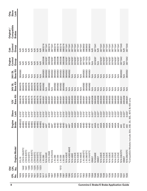| 1442<br>1441<br><b>PL</b><br>$\overline{O}$<br>。<br>2 | Engine Model<br>LTA10-350/STC<br>91L10                        | 404BG/D<br>Engine<br>404BG<br><b>Brake</b> | Slave<br>Lash<br>0.015"<br>0.015" | <b>Base Kit</b><br>3804575<br>3804578<br>12V | Base Kit<br>3804579<br>3804576<br><b>24V SL</b> | <b>Base Kit</b><br>3804580<br><b>24V DL</b><br>$\frac{4}{2}$ | Control<br>Engine<br>Group<br>N/R<br><b>SF</b> | Control<br>Group<br>Cab<br>$\frac{1}{2}$<br>$\frac{1}{2}$ | Compatible<br>Original /<br><b>Brakes</b> | Slave<br>Orig.<br>Lash |
|-------------------------------------------------------|---------------------------------------------------------------|--------------------------------------------|-----------------------------------|----------------------------------------------|-------------------------------------------------|--------------------------------------------------------------|------------------------------------------------|-----------------------------------------------------------|-------------------------------------------|------------------------|
|                                                       | LTA10-B/STC<br>TA10-B/STC<br>LTA10/STC                        | 404BG<br>404BG<br>404BG                    | 0.015"<br>0.015"<br>0.015"        | 3804575<br>3804575<br>3804575                | 3804576<br>3804576<br>3804576                   | $\leq$<br>$\frac{4}{5}$<br>$\frac{4}{2}$                     | <b>NR</b><br>$\frac{1}{2}$<br><b>SP</b>        | $\frac{R}{2}$<br>$\frac{1}{2}$<br>N/R                     |                                           |                        |
|                                                       | LTA10/STC<br>LTA10/STC                                        | 404BG<br>404BG                             | 0.015"<br>0.015"                  | 3804575<br>3804575                           | 3804576<br>3804576                              | $\leq$<br>$M \times$                                         | N/R<br>$\frac{1}{2}$                           | N/R<br>$\frac{R}{2}$                                      |                                           |                        |
|                                                       | LTA10/STC                                                     | 404BG                                      | 0.015"                            | 3804575                                      | 3804576                                         | $\leq$                                                       | $\frac{1}{2}$                                  | $\frac{1}{2}$                                             |                                           |                        |
| $-10 - 280$                                           | N14-500/E                                                     | 404D<br>440*                               | 0.023"<br>$0.015$ "               | 3804581<br>3804591                           | 3804582<br>$\frac{4}{2}$                        | 3804583<br>3804592                                           | 3892598<br>3074287                             | 3883216<br>3871541                                        |                                           |                        |
|                                                       | <b>LTA10-350E</b>                                             | 404D                                       | 0.015"                            | 3804581                                      | 3804582                                         | 3804583                                                      | 3892598                                        | 3883216                                                   |                                           |                        |
|                                                       | N14-370/410                                                   | 440*                                       | 0.023"                            | 3804591                                      | $\frac{4}{2}$                                   | 3804592                                                      | 3074287                                        | 3871541                                                   |                                           |                        |
| $L10 - 280$                                           |                                                               | 404D                                       | $0.015$ "<br>0.015"               | 3804581                                      | 3804582                                         | 3804583                                                      | 3892598                                        | 3883216                                                   |                                           |                        |
| $L10 - 330$<br>$L10 - 330$                            |                                                               | 404D<br>404D                               | 0.015"                            | 3804581<br>3804581                           | 3804582<br>3804582                              | 3804583<br>3804583                                           | 3892598<br>3892598                             | 3883216<br>3883216                                        |                                           |                        |
| $-10 - 330$                                           |                                                               | 404D                                       | 0.015"                            | 3804581                                      | 3804582                                         | 3804583                                                      | 3892598                                        | 3883216                                                   |                                           |                        |
|                                                       | N14-430/E                                                     | 440*                                       | $0.023$ "                         | 3804591                                      | $M \triangle$                                   | 3804592                                                      | 3074287                                        | 3871541                                                   |                                           |                        |
|                                                       | N14-430E/460/E                                                | 440*                                       | 0.023"                            | 3804591                                      | $\frac{4}{2}$                                   | 3804592                                                      | 3074287                                        | 3871541                                                   |                                           |                        |
|                                                       | N14-480E                                                      | 440A                                       | 0.023"                            | 3804593                                      | $\frac{4}{2}$                                   | $\leq$                                                       | 3074287                                        | 3871541                                                   |                                           |                        |
|                                                       | N14-310/E                                                     | 440A                                       | 0.023"                            | 3804593                                      | $\frac{4}{2}$                                   | $\frac{4}{2}$                                                | 3074287                                        | 3871541                                                   |                                           |                        |
|                                                       | N14-430/E                                                     | 440A                                       | 0.023"                            | 3804593                                      | $M\triangle$                                    | $\frac{4}{2}$                                                | 3074287                                        | 3871541                                                   |                                           |                        |
|                                                       | N14-460/E                                                     | 440A                                       | 0.023"                            | 3804593                                      | $\frac{4}{2}$                                   | $\frac{4}{2}$                                                | 3074287                                        | 3871541                                                   |                                           |                        |
|                                                       | L10-260/STC                                                   | 404D                                       | 0.015"                            | 3804581                                      | 3804582                                         | 3804583                                                      | 3871525                                        | 3883602                                                   |                                           |                        |
|                                                       | L10-280/STC                                                   | 404D                                       | 0.015"                            | 3804581                                      | 3804582                                         | 3804583                                                      | 3871525                                        | 3883602                                                   |                                           |                        |
|                                                       | L10-310/STC                                                   | 404D                                       | 0.015"                            | 3804581                                      | 3804582                                         | 3804583                                                      | 3871525                                        | 3883602                                                   |                                           |                        |
| ISM07                                                 |                                                               | 411E                                       | $0.027$ "                         | 4955458                                      | $M \triangle$                                   | $\frac{4}{5}$                                                | <b>N/A</b>                                     | <b>NR</b>                                                 |                                           |                        |
|                                                       | N140460E                                                      | 440A                                       | 0.023"                            | 3804593                                      | $\frac{4}{2}$                                   | $\frac{4}{2}$                                                | 3074287                                        | 3871541                                                   |                                           |                        |
| ISM07                                                 |                                                               | 411E                                       | $0.027$ "                         | 4955458                                      | $\frac{4}{2}$                                   | $\leq$                                                       | $\frac{4}{2}$                                  | N/R                                                       |                                           |                        |
|                                                       | N14-330/E                                                     | 440A                                       | 0.023"                            | 3804593                                      | $\frac{4}{2}$                                   | $\leq$                                                       | 3074287                                        | 3871541                                                   |                                           |                        |
|                                                       | N14-310/E                                                     | 440A                                       | 0.023"                            | 3804593                                      | $\frac{4}{2}$                                   | $\leq$                                                       | 3074287                                        | 3871541                                                   |                                           |                        |
|                                                       | N14-330/E                                                     | 440A                                       | 0.023"                            | 3804593                                      | $\frac{4}{2}$                                   | $\frac{4}{5}$                                                | 3074287                                        | 3871541                                                   |                                           |                        |
|                                                       | N14-330/E                                                     | 440A                                       | 0.023"                            | 3804593                                      | $\frac{4}{2}$                                   | $\leq$                                                       | 3074287                                        | 3871541                                                   |                                           |                        |
|                                                       | N14-350/E                                                     | 440A                                       | 0.023"                            | 3804593                                      | $\leq$                                          | $\leq$                                                       | 3074287                                        | 3871541                                                   |                                           |                        |
|                                                       | N14-370/E                                                     | 440A                                       | 0.023"                            | 3804593                                      | $\leq$                                          | $\leq$                                                       | 3074287                                        | 3871541                                                   |                                           |                        |
|                                                       | N14-370/E                                                     | 440A                                       | 0.023"                            | 3804593                                      | $\frac{4}{2}$                                   | $\frac{4}{2}$                                                | 3074287                                        | 3871541                                                   |                                           |                        |
|                                                       | N14-330/STC                                                   | 440                                        | 0.023"                            | 3804591                                      | $M \times$                                      | 3804592                                                      | 3871542                                        | 3871543                                                   |                                           |                        |
| ISM07                                                 |                                                               | 411E                                       | $0.027$ "                         | 4955458                                      | $\frac{4}{2}$                                   | $\frac{1}{2}$                                                | $\frac{1}{2}$                                  | $\frac{R}{Z}$                                             |                                           |                        |
|                                                       | N14-350/STC                                                   | 440                                        | $0.023$ "                         | 3804591                                      | $\frac{4}{5}$                                   | 3804592                                                      | 3871542                                        | 3871543                                                   |                                           |                        |
|                                                       | *Compatible Models include 25A, 25B, 30, 30E, 401C & 400 only |                                            |                                   |                                              |                                                 |                                                              |                                                |                                                           |                                           |                        |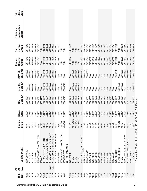| Slave<br>Orig.<br>Lash                    |             |           |           |             |                          |                                   |                        |                        |                            |                            |                            |               |                             |               |                  |               |               |               |         |                          |                     |               |               |               |               |               |                                 |               |               |               |               |               |               |         |                          |                       |               |           |                                                               |
|-------------------------------------------|-------------|-----------|-----------|-------------|--------------------------|-----------------------------------|------------------------|------------------------|----------------------------|----------------------------|----------------------------|---------------|-----------------------------|---------------|------------------|---------------|---------------|---------------|---------|--------------------------|---------------------|---------------|---------------|---------------|---------------|---------------|---------------------------------|---------------|---------------|---------------|---------------|---------------|---------------|---------|--------------------------|-----------------------|---------------|-----------|---------------------------------------------------------------|
| Compatible<br>Original /<br><b>Brakes</b> |             |           |           |             |                          |                                   |                        |                        |                            |                            |                            |               |                             |               |                  |               |               |               |         |                          |                     |               |               |               |               |               |                                 |               |               |               |               |               |               |         |                          |                       |               |           |                                                               |
| Control<br>Group<br>Cab                   | 3871543     | 3883216   | 3883216   | 3883216     | 3871543                  | <b>NR</b>                         | 3883602                | 3883602                | 3883602                    | 3883602                    | 3883602                    | 3871541       | N/R                         | $\frac{R}{2}$ |                  | 3871541       | $\frac{1}{2}$ | $\frac{1}{2}$ | N/R     | 3871543                  | 3042594             | 3871543       | 3871541       | 3871541       | 3871541       | 3871541       | 3871541                         | 3871541       | 3871541       | 3871541       | 3871541       | 3871543       | $\frac{1}{2}$ | 3883216 | 3871543                  | 3883602               | 3042594       | 3883216   |                                                               |
| Control<br>Engine<br>Group                | 3871542     | 3892598   | 3892598   | 3892598     | 3871542                  | $\leq$                            | 3871525                | 3871525                | 3871525                    | 3871525                    | 3871525                    | 3074287       | $\frac{1}{2}$               | $\frac{R}{2}$ |                  | 3074287       | N/R           | $\frac{1}{2}$ | N/R     | 3871542                  | 3871423             | 3871542       | 3074287       | 3074287       | 3074287       | 3074287       | 3074287                         | 3074287       | 3074287       | 3074287       | 3074287       | 3871542       | $\frac{1}{2}$ | 3892598 | 3871542                  | 3871531               | 3871423       | 3892598   |                                                               |
| Base Kit<br>24V DL                        | 3804592     | 3804583   | 3804583   | 3804583     | 3804592                  | $\frac{1}{2}$                     | 3804583                | 3804583                | 3804583                    | 3804583                    | 3804583                    | $\frac{4}{2}$ | $\frac{4}{2}$               | $\frac{4}{2}$ |                  | $\frac{4}{2}$ | 3804580       | 3804580       | 3804580 | 3804592                  | 3804589             | 3804592       | $\frac{4}{2}$ | $\frac{4}{2}$ | $\frac{4}{2}$ | $\leq$        | $\frac{4}{2}$                   | $\frac{4}{2}$ | $\frac{4}{2}$ | $\frac{4}{2}$ | $\frac{4}{2}$ | 3804592       | $\frac{4}{2}$ | 3804583 | 3804592                  | 3804580               | 3804589       | 3804583   |                                                               |
| Base Kit<br>24V SL                        | ⋚           | 3804582   | 3804582   | 3804582     | $\frac{4}{2}$            | $\frac{\triangleleft}{\triangle}$ | 3804582                | 3804582                | 3804582                    | 3804582                    | 3804582                    | $\frac{1}{2}$ | 3804576                     | 3804576       |                  | $\frac{4}{2}$ | 3804579       | 3804579       | 3804579 | $\frac{4}{2}$            | $\frac{4}{2}$       | $\frac{4}{2}$ | $\frac{4}{2}$ | $\frac{4}{2}$ | $\frac{4}{2}$ | $\frac{4}{5}$ | $\frac{\mathsf{A}}{\mathsf{A}}$ | $\frac{4}{2}$ | $\frac{4}{2}$ | $\frac{4}{2}$ | $\frac{4}{2}$ | $\frac{4}{2}$ | 3804576       | 3804582 | $\frac{4}{2}$            | $M \triangle$         | $\frac{4}{5}$ | 3804582   |                                                               |
| Base Kit<br>12V                           | 3804591     | 3804581   | 3804581   | 3804581     | 3804591                  | 4955458                           | 3804581                | 3804581                | 3804581                    | 3804581                    | 3804581                    | 3804593       | 3804575                     | 3804575       |                  | 3804593       | 3804578       | 3804578       | 3804578 | 3804591                  | $\frac{4}{2}$       | 3804591       | 3804593       | 3804593       | 3804593       | 3804593       | 3804593                         | 3804593       | 3804593       | 3804593       | 3804593       | 3804591       | 3804575       | 3804581 | 3804591                  | $\frac{4}{2}$         | $\leq$        | 3804581   |                                                               |
| Slave<br>Lash                             | 0.023       | 0.015"    | 0.015"    | 0.015"      | 0.023"                   | $0.027$ "                         | $0.015$ "              | 0.015"                 | 0.015"                     | 0.015"                     | 0.015"                     | 0.023"        | $0.015$ "                   | $0.015$ "     |                  | $0.023$ "     | 0.015"        | 0.015"        | 0.015"  | 0.023"                   | 0.037"              | $0.023$ "     | 0.023"        | 0.023"        | 0.023"        | 0.023"        | 0.023"                          | 0.023"        | 0.023"        | 0.023"        | 0.023"        | 0.023"        | $0.015$ "     | 0.015"  | $0.023$ "                | 0.015"                | 0.037"        | 0.015"    |                                                               |
| Engine<br><b>Brake</b>                    | 40          | 404D      | 404D      | 404D        | 440                      | 411E                              | 404D                   | 404D                   | 404D                       | 404D                       | 404D                       | 440A          | 404BG                       | 404BG         |                  | 440A          | 404BG/D       | 404BG/D       | 404BG/D | 440                      | 425A                | 440           | 440A          | 440A          | 440A          | 440A          | 440A                            | 440A          | 440A          | 440A          | 440A          | 440           | 404BG         | 404D    | 440                      | 404D                  | 425A          | 404D      |                                                               |
| Engine Model                              | N14-350/STC | 91L10-310 | 91L10-330 | 91L10-280   | N14-370/STC See CPL 1374 | ISM07                             | 91L10/STC See CPL 1912 | 91L10/STC See CPL 1910 | 91L10-260/STC See CPL 1913 | 91L10-280/STC See CPL 1911 | 91L10-310/STC See CPL 1909 | N14-370/E     | LTA10-350/STC, see CPL 1625 | LTA10-B/STC,  | See CPL1624,1994 | N14-410/E     | 91L10         | 91L10         | 91L10   | N14-410/STC, see CPL1957 | <b>NTAA 410 STC</b> | N14-330/STC   | N14-310/E     | N14-330/E     | N14-330/E     | N14-350/E     | N14-370/E                       | N14-370/E     | N14-430/E     | N14-430/E     | N14-460/E     | N14-350/STC   | LTA10-330/STC | 91L10   | N14-330/STC See CPL 1507 | 91L10/260/280/310 STC | NTAA 465 STC  | 91L10-310 | *Compatible Models include 25A, 25B, 30, 30E, 401C & 400 only |
| <b>CPL</b><br>$\overline{O}$<br>。<br>2    |             | 514       |           |             |                          | 500                               |                        |                        | 1373                       | 1362                       |                            |               |                             |               |                  |               |               |               |         |                          |                     |               |               |               |               |               |                                 |               |               |               |               |               |               |         |                          |                       |               |           |                                                               |
| 忌<br>.<br>No                              | 1529        |           | 1512      | <b>1291</b> | 1507                     |                                   | 1450                   | 1449                   | 1448                       | 1447                       | 1446                       | 1445          | 1442                        | 1441          |                  | 1426          | 1414          | 1413          | 1412    | 1405                     | 1402                | 1395          | 1394          | <b>393</b>    | <b>1392</b>   | <b>1391</b>   | 1390                            | 1389          | 1386          | 1385          | 1384          | 1380          | 1378          | 1375    | 1374                     | 1373                  | 1370          | 1367      |                                                               |

 $\overline{a}$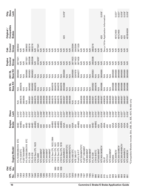| DIO                                         |                           |                                                               |               |               |                                  |                           | Engine           | Cab              | Original /                           | Orig.         |
|---------------------------------------------|---------------------------|---------------------------------------------------------------|---------------|---------------|----------------------------------|---------------------------|------------------|------------------|--------------------------------------|---------------|
| <b>PL</b><br>o<br>No<br><b>PL</b><br>。<br>2 | Engine Model              | Engine<br><b>Brake</b>                                        | Slave<br>Lash |               | <b>Base Kit</b><br><b>24V SL</b> | Base Kit<br><b>24V DL</b> | Control<br>Group | Control<br>Group | Compatible<br><b>Brakes</b>          | Slave<br>Lash |
| 1362                                        | 91L10/260/280/310         | 404D<br>STC                                                   | 0.015"        | $\frac{1}{2}$ | $\stackrel{\triangleleft}{\geq}$ | 3804580                   | 3871531          | 3883602          |                                      |               |
| 1359                                        | LT10-225/STC              | 404BG                                                         | $0.015$ "     | 3804575       | 3804576                          | $\frac{4}{2}$             | $\frac{1}{2}$    | $\frac{1}{2}$    |                                      |               |
| 1352                                        | FLEET300/88NT             | 430                                                           | $0.024$ "     | 3804590       | $\frac{4}{2}$                    | $\frac{4}{2}$             | $\frac{1}{2}$    | $\frac{1}{2}$    |                                      |               |
| 1349                                        | 91L10/260/280/310         | 404D<br>STC                                                   | 0.015"        | $\frac{4}{2}$ | $\frac{4}{2}$                    | 3804580                   | 3871531          | 3883602          |                                      |               |
| 348                                         | 91L10-330                 | 404D                                                          | $0.015$ "     | 3804581       | 3804582                          | 3804583                   | 3892598          | 3883216          |                                      |               |
| 1347                                        | 91L10-310                 | 404D                                                          | 0.015"        | 3804581       | 3804582                          | 3804583                   | 3892598          | 3883216          |                                      |               |
| 1346                                        | LTA10 See CPL 1623        | 404BG                                                         | 0.015"        | 3804575       | 3804576                          | $\leq$                    | $\frac{1}{2}$    | $\frac{1}{2}$    |                                      |               |
| 1324                                        | N14-460E                  | 440A                                                          | 0.023"        | 3804593       | $\frac{4}{2}$                    | $\leq$                    | 3074287          | 3871541          |                                      |               |
| 1286                                        | NTC444/88NT               | 430                                                           | 0.046"        | 3804590       | $M\triangle$                     | $\leq$                    | <b>N/R</b>       | $\frac{1}{2}$    |                                      |               |
| 1285                                        | NTC444/88NT               | 430                                                           | 0.046"        | 3804590       | $\frac{\mathbf{A}}{\mathbf{A}}$  | $\leq$                    | $\frac{1}{2}$    | $\frac{1}{2}$    |                                      |               |
| 1280                                        | NTC444/88NT               | 430                                                           | 0.046"        | 3804590       | $\leq$                           | $\frac{4}{2}$             | $\frac{1}{2}$    | $\frac{1}{2}$    |                                      |               |
| 1256                                        | NTC444/88NT               | 430                                                           | 0.046"        | 3804590       | $\frac{4}{2}$                    | $\frac{4}{2}$             | $\frac{1}{2}$    | $\frac{1}{2}$    |                                      |               |
| 1226                                        | LTA10 See CPL 1622,1994   | 404BG                                                         | 0.015"        | 3804575       | 3804576                          | $\frac{4}{2}$             | $\frac{1}{2}$    | $\frac{1}{2}$    |                                      |               |
| 980<br><b>225</b>                           | <b>TA10 See CPL 1621</b>  | 404BG                                                         | 0.015"        | 3804575       | 3804576                          | $\frac{4}{5}$             | $\frac{1}{2}$    | $\frac{1}{2}$    |                                      |               |
| 956<br>1224                                 | <b>LTA10 See CPL 1620</b> | 404BG                                                         | 0.015"        | 3804575       | 3804576                          | $\leq$                    | N/R              | $\frac{1}{2}$    |                                      |               |
| 939<br><b>223</b>                           | TA10 See CPL 1619         | 404BG                                                         | 0.015"        | 3804575       | 3804576                          | $\leq$                    | N/R              | $\frac{1}{2}$    |                                      |               |
| <b>1215</b>                                 | <b>NTC444NBCIV</b>        | 425A                                                          | 0.037"        | 3804587       | 3804588                          | 3804589                   | N/R              | $\frac{R}{2}$    | 420                                  | 0.018"        |
| 1211                                        | NTC400/88NTSTC            | 430                                                           | 0.046"        | 3804590       | $\leq$                           | $\frac{4}{2}$             | N/R              | $\frac{1}{2}$    |                                      |               |
| <b>1210</b>                                 | NTC444/88NTSTC            | 430                                                           | 0.046"        | 3804590       | $\leq$                           | $M \triangle$             | N/R              | <b>NR</b>        |                                      |               |
| <b>1200</b>                                 | NTA 405 STC               | 425A                                                          | 0.037"        | $\frac{4}{2}$ | $\frac{4}{2}$                    | 3804589                   | 3871423          | 3042594          |                                      |               |
| <b>199</b>                                  | NTE 365 F/T               | 430                                                           | 0.032"        | $\frac{4}{2}$ | $\leq$                           | 3267479                   | 3871423          | 3042594          |                                      |               |
| 1198                                        | Pre91L10 F/T              | 404BG                                                         | 0.015"        | $\frac{4}{2}$ | $\frac{4}{2}$                    | 3804577                   | 3871426          | 3871329          |                                      |               |
| 1188                                        | NTC350/88NTSTC            | 430                                                           | 0.046"        | 3804590       | $\leq$                           | $\leq$                    | N/R              | $\frac{1}{2}$    |                                      |               |
| 1187                                        | FLEET 285/88NT            | 430                                                           | 0.024"        | 3804590       | $\leq$                           | $\frac{1}{2}$             | $\frac{1}{2}$    | $\frac{1}{2}$    |                                      |               |
| 1186                                        | NTE465/88NT               | 430                                                           | 0.030"        | 3804590       | $\frac{\mathbf{A}}{\mathbf{A}}$  | $\leq$                    | $\frac{1}{2}$    | $\frac{1}{2}$    |                                      |               |
| 1185                                        | NTC400/88NT               | 430                                                           | 0.046"        | 3804590       | $M\triangle$                     | $\leq$                    | N/R              | <b>SF</b>        |                                      |               |
| 1161                                        | 91L10-330                 | 404D                                                          | 0.015"        | 3804581       | 3804582                          | 8804583                   | 3892598          | 3883216          |                                      |               |
| 996                                         | LTA10-B/STC               | 404BG                                                         | 0.015"        | 3804575       | 3804576                          | $\frac{4}{5}$             | $\frac{1}{2}$    | $\frac{1}{2}$    |                                      |               |
| 992                                         | NT350E/88NT               | 430                                                           | 0.030"        | 3804590       | $\frac{4}{2}$                    | $\frac{4}{2}$             | N/R              | $\frac{1}{2}$    |                                      |               |
| 974                                         | NTC400/365BCIV            | 425A                                                          | 0.018"        | 3804587       | 3804588                          | 8804589                   | N/R              | $\frac{R}{2}$    | 420                                  | $0.018$ "     |
| 915                                         | <b>ISL07</b>              | A064                                                          | 0.090"        | 4089626       | $\frac{4}{2}$                    | $\frac{1}{2}$             | $\frac{4}{2}$    |                  | See p.16 for Application Information |               |
| 911                                         | NT315-E                   | 430                                                           | 0.030"        | 3804590       | $\frac{4}{2}$                    | $\leq$                    | $\frac{1}{2}$    | $\frac{1}{2}$    |                                      |               |
| 910                                         | NTC444/88NT               | 430                                                           | 0.046"        | 3804590       | $\frac{4}{2}$                    | $\frac{4}{2}$             | $\frac{1}{2}$    | $\frac{1}{2}$    |                                      |               |
| 909                                         | NTA855                    | 425A                                                          | 0.030"        | 3804587       | 3804588                          | 8804589                   | $\frac{1}{2}$    | $\frac{1}{2}$    |                                      |               |
| 907                                         | NTC300BCIV                | 425A                                                          | 0.018"        | 3804587       | 3804588                          | 3804589                   | $\frac{1}{2}$    | $\frac{1}{2}$    | 401C/400                             | $0.021$ "     |
| 905                                         | NTC300/320BCIV            | 425A                                                          | 0.018"        | 3804587       | 3804588                          | 3804589                   | $\frac{1}{2}$    | $\frac{1}{2}$    | 401C/400                             | 0.021"        |
| 904                                         | NTC365/400NBCIV           | 425A                                                          | $0.037$ "     | 3804587       | 3804588                          | 3804589                   | N/R              | $\frac{1}{2}$    | 420                                  | 0.018"        |
| 903                                         | NTC444NBCIV               | 425A                                                          | 0.037"        | 3804587       | 3804588                          | 3804589                   | $\frac{1}{2}$    | Ş                | 420                                  | 0.018"        |
| 891                                         | NTC400BCIII               | 425A                                                          | 0.018"        | 3804587       | 3804588                          | 3804589                   | $\frac{1}{2}$    | $\frac{1}{2}$    | 401B/400H                            | 0.018"        |
|                                             |                           | *Compatible Models include 25A, 25B, 30, 30E, 401C & 400 only |               |               |                                  |                           |                  |                  |                                      |               |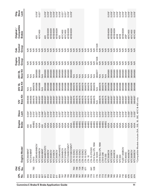| <b>Cummins C Brake/E Brake Application Guide</b> | 군<br>CPL<br>o<br>No. | <b>CPL</b><br>$\overline{O}$<br>$\frac{1}{2}$ | Engine Model                                                  | Engine<br><b>Brake</b> | Slave<br>Lash      | <b>Base Kit</b><br>12V | <b>Base Kit</b><br><b>24V SL</b> | <b>Base Kit</b><br>24V DL      | Control<br>Engine<br>Group     | Control<br>Group<br>Cab  | Compatible<br>Original /<br><b>Brakes</b> | Slave<br>Orig.<br>Lash |
|--------------------------------------------------|----------------------|-----------------------------------------------|---------------------------------------------------------------|------------------------|--------------------|------------------------|----------------------------------|--------------------------------|--------------------------------|--------------------------|-------------------------------------------|------------------------|
|                                                  |                      |                                               |                                                               |                        |                    |                        |                                  |                                |                                |                          |                                           |                        |
|                                                  | 838<br>840           |                                               | NTC350/88NT<br>NTC315/88NT                                    | 430<br>430             | $0.024$ "<br>0.024 | 3804590<br>3804590     | $\frac{4}{2}$<br>$\frac{4}{2}$   | $\frac{4}{5}$<br>$\frac{4}{5}$ | $\frac{1}{2}$<br>$\frac{1}{2}$ | Ş<br>$\frac{1}{2}$       |                                           |                        |
|                                                  | 835                  | 783                                           | <b>LTA10</b>                                                  | 404BG                  | 0.015"             | 3804575                | 3804576                          | $\frac{4}{2}$                  | $\frac{1}{2}$                  | $\frac{1}{2}$            |                                           |                        |
|                                                  | 833                  |                                               | VTC365/400NBCIV                                               | 425A                   | 0.037"             | 3804587                | 3804588                          | 8804589                        | Ş                              | $\frac{1}{2}$            | 420                                       | $0.018$ "              |
|                                                  | 832                  |                                               | NTC300NBCIV                                                   | 425A                   | 0.018"             | 3804587                | 3804588                          | 3804589                        | $\frac{1}{2}$                  | $\frac{1}{2}$            | 401C/400                                  | 0.021"                 |
|                                                  | 827                  |                                               | NTC400/88NT                                                   | 430                    | 0.046"             | 3804590                | $\frac{4}{2}$                    | $\frac{4}{2}$                  | <b>SP</b>                      | $\frac{1}{\sqrt{2}}$     |                                           |                        |
|                                                  | 821                  |                                               | NTC444BCIVSTC                                                 | 425A                   | $0.037$ "          | 3804587                | 3804588                          | 3804589                        | $\frac{1}{2}$                  | <b>SF</b>                | 420                                       | $0.018$ "              |
|                                                  | 814                  |                                               | <b>NTC400BCIV</b>                                             | 425A                   | 0.018"             | 3804587                | 3804588                          | 3804589                        | <b>N/R</b>                     | $\frac{1}{2}$            | 401B/400H                                 | 0.018"                 |
|                                                  | 813                  |                                               | NTC350BCIV                                                    | 425A                   | 0.018"             | 3804587                | 3804588                          | 3804589                        | $\frac{R}{2}$                  | $\frac{1}{2}$            | 401B/400H                                 | 0.018"                 |
|                                                  | 812                  |                                               | NTC315BCIV                                                    | 425A                   | 0.018"             | 3804587                | 3804588                          | 3804589                        | $\frac{R}{2}$                  | $\frac{1}{2}$            | 401B/400H                                 | 0.018"                 |
|                                                  | 811                  |                                               | NTC300BCIV                                                    | 425A                   | 0.018"             | 3804587                | 3804588                          | 3804589                        | $\frac{1}{2}$                  | N.R                      | 401B/400H                                 | 0.018"                 |
|                                                  | 806                  |                                               | NTCC365/400STC                                                | 425A                   | $0.037$ "          | 3804587                | 3804588                          | 3804589                        | <b>SP</b>                      |                          | 420                                       | 0.018"                 |
|                                                  | 797                  |                                               | NTC350NBCIV                                                   | 425A                   | 0.018"             | 3804587                | 3804588                          | 3804589                        | $\frac{1}{2}$                  | $\frac{1}{2}$            | 401C/400                                  | $0.021$ "              |
|                                                  | 796                  |                                               | NTC315NBCIV                                                   | 425A                   | 0.018"             | 3804587                | 3804588                          | 3804589                        | $\frac{1}{2}$                  | $\frac{1}{2}$            | 401C/400                                  | 0.021"                 |
|                                                  | 795                  |                                               | NTCC350BCIVMVT                                                | 425A                   | 0.018"             | 3804587                | 3804588                          | 3804589                        | $\frac{1}{2}$                  | $\frac{1}{2}$            | 401 B/400H                                | $0.018$ "              |
|                                                  | 794                  |                                               | NTCC315BCIVMVT                                                | 425A                   | 0.018"             | 3804587                | 3804588                          | 3804589                        | N/R                            | N/R                      | 401B/400H                                 | 0.018"                 |
|                                                  | 790                  | 764                                           | LTA-10 (OAC)                                                  | 404BG                  | 0.015"             | 3804575                | 3804576                          | $\frac{4}{2}$                  | $\frac{R}{2}$                  | $\frac{R}{2}$            |                                           |                        |
|                                                  | 789                  | 748                                           | <b>LTA-10 (OAC)</b>                                           | 404BG                  | 0.015"             | 3804575                | 3804576                          | $\frac{4}{\sqrt{2}}$           | N/R                            | $\overline{\mathsf{NR}}$ |                                           |                        |
|                                                  | 787                  | 726                                           | $TA-10$ (OAC)                                                 | 404BG                  | 0.015"             | 3804575                | 3804576                          | $\frac{4}{5}$                  | $\sum$                         | $\frac{1}{2}$            |                                           |                        |
|                                                  | 786                  | 708                                           | LTA-10 (OAC)                                                  | 404BG                  | 0.015"             | 3804575                | 3804576                          | $\frac{4}{5}$                  | <b>N/R</b>                     | <b>N/R</b>               |                                           |                        |
|                                                  | 785                  | 671                                           | LTA-10 (OAC)                                                  | 404BG                  | 0.015"             | 3804575                | 3804576                          | $\leq$                         | $\frac{1}{2}$                  | $\frac{1}{2}$            |                                           |                        |
|                                                  | 780                  |                                               | $-TA - 10$                                                    | 404BG                  | 0.015"             | 3804575                | 3804576                          | $\leq$                         | N/R                            | $\frac{R}{2}$            |                                           |                        |
|                                                  | 778                  | 641                                           | TA-10-270/320                                                 | 404BG                  | 0.015"             | 3804575                | 3804576                          | $\frac{4}{5}$                  | N/R                            | $\frac{1}{2}$            |                                           |                        |
|                                                  | 777                  | 528                                           | LTA10 See CPL 1994                                            | 404BG                  | 0.015"             | 3804575                | 3804576                          | $\frac{4}{2}$                  | $\frac{1}{2}$                  | $\frac{1}{2}$            |                                           |                        |
|                                                  | 776                  |                                               | LTA 10/225                                                    | 404BG                  | 0.015"             | $\frac{4}{2}$          | $\frac{4}{2}$                    | 3804577                        | 3871426                        | 3781329                  |                                           |                        |
|                                                  | 774                  |                                               | LTA10 See CPL 1994                                            | 404BG                  | 0.015"             | 3804575                | 3804576                          | $\leq$                         | N/R                            | N/R                      |                                           |                        |
|                                                  | 773                  |                                               | $TA10-290$                                                    | 404BG                  | 0.015"             | 3804575                | 3804576                          | $\frac{4}{2}$                  | <b>N/R</b>                     | $\frac{R}{2}$            |                                           |                        |
|                                                  | 770                  |                                               | LT10-250                                                      | 404BG                  | 0.015"             | 3804575                | 3804576                          | $\frac{4}{2}$                  | $\frac{1}{2}$                  | $\frac{1}{2}$            |                                           |                        |
|                                                  | 769                  |                                               | NTC350BCIII                                                   | 425A                   | 0.018"             | 3804587                | 3804588                          | 3804589                        | $\frac{R}{2}$                  | $\frac{1}{2}$            | 401B/400H                                 | 0.018"                 |
|                                                  | 749                  |                                               | NTC315BCIV                                                    | 425A                   | 0.018"             | 3804587                | 3804588                          | 3804589                        | $\frac{1}{2}$                  | $\frac{1}{2}$            | 401B/400H                                 | 0.018"                 |
|                                                  | 745                  |                                               | NTC400BCIII                                                   | 425A                   | 0.018"             | 3804587                | 3804588                          | 3804589                        | $\frac{1}{2}$                  | $\frac{1}{2}$            | 401B/400H                                 | 0.018"                 |
|                                                  | 744                  |                                               | NTC350                                                        | 425A                   | 0.018"             | 3804587                | 3804588                          | 3804589                        | $\frac{1}{2}$                  | $\frac{1}{2}$            | 401B                                      | $0.018$ "              |
|                                                  | 743                  |                                               | NTC300                                                        | 425A                   | 0.018"             | 3804587                | 3804588                          | 3804589                        | $\frac{1}{2}$                  | $\frac{1}{2}$            | 401B                                      | 0.018"                 |
|                                                  | 718                  |                                               | FLEET 300BCIV                                                 | 425A                   | 0.018"             | 3804587                | 3804588                          | 3804589                        | $\frac{1}{2}$                  | $\frac{1}{2}$            | 401B/400H                                 | 0.018"                 |
|                                                  | 695                  |                                               | NTC400SC                                                      | 425A                   | 0.018"             | 3804587                | 3804588                          | 3804589                        | $\frac{1}{2}$                  | $\frac{1}{2}$            | $25B*$                                    | 0.018"                 |
|                                                  | 676                  |                                               | NTC400BCIV                                                    | 425A                   | 0.030"             | 3804587                | 3804588                          | 3804589                        | $\frac{1}{2}$                  | $\frac{1}{2}$            | 401C/400                                  | 0.018"                 |
|                                                  | 675                  |                                               | NTC350BCIV                                                    | 425A                   | 0.030"             | 3804587                | 3804588                          | 3804589                        | $\frac{1}{2}$                  | $\frac{1}{2}$            | 401C/400                                  | 0.018"                 |
| 11                                               | 674                  |                                               | NTC300BCIV                                                    | 425A                   | 0.030"             | 3804587                | 3804588                          | 3804589                        | $\frac{1}{\sqrt{2}}$           | $\frac{1}{2}$            | 401C/400                                  | 0.018"                 |
|                                                  |                      |                                               | *Compatible Models include 25A, 25B, 30, 30E, 401C & 400 only |                        |                    |                        |                                  |                                |                                |                          |                                           |                        |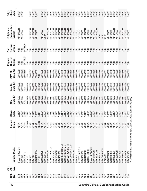| <b>CPL</b><br><b>DIO</b><br>군<br>CPL |                                                        | Engine       | Slave                                      | 12V      | <b>24V SL</b>   | <b>24V DL</b> | Control<br>Engine | Control<br>Cab | Compatible<br>Original / | Slave<br>Orig. |
|--------------------------------------|--------------------------------------------------------|--------------|--------------------------------------------|----------|-----------------|---------------|-------------------|----------------|--------------------------|----------------|
| $\frac{1}{2}$<br>.<br>2              | Engine Model                                           | <b>Brake</b> | <b>Lash</b>                                | Base Kit | <b>Base Kit</b> | Base Kit      | Group             | Group          | <b>Brakes</b>            | Lash           |
| 673                                  | FLEET 300BCIV                                          | 425A         | 018 <sup>m</sup><br>0                      | 3804587  | 3804588         | 3804589       | $\frac{1}{2}$     | $\frac{1}{2}$  | 401B/400H                | 0.018          |
| 669                                  | NTC350                                                 | 425A         | 030"<br>$\circ$                            | 3804587  | 3804588         | 3804589       | $\frac{1}{2}$     | $\frac{1}{2}$  | 401C/400                 | 0.018"         |
| 659                                  | NTAA-STC                                               | 425A         | 0.018                                      | ≸        | $\frac{4}{2}$   | 3804589       | 3871423           | 3042594        |                          |                |
| 652                                  | $TA$ 10                                                | 404BG        | 015"<br>$\circ$                            | 3804575  | 3804576         | $\frac{4}{2}$ | $\frac{1}{2}$     | $\frac{1}{2}$  |                          |                |
| 651                                  | <b>NTE400</b>                                          | 425A         | .018"<br>$\circ$                           | 3804587  | 3804588         | 3804589       | $\frac{1}{2}$     | $\frac{1}{2}$  | 401B/400H                | $0.018$ "      |
| 647                                  | <b>NTC320</b>                                          | 425A         | 018"<br>$\circ$                            | 3804587  | 3804588         | 3804589       | $\frac{1}{2}$     | $\frac{1}{2}$  | 401B/400H                | 0.018"         |
| 642                                  | NTC400BCIV                                             | 425A         | .030"<br>$\circ$                           | 3804587  | 3804588         | 3804589       | $\frac{R}{2}$     | $\frac{1}{2}$  | 401C/400                 | 0.018"         |
| 638                                  | LTA-10                                                 | 404BG        | .015<br>$\circ$                            | 3804575  | 3804576         | N/R           | $\frac{1}{2}$     | $\frac{1}{2}$  |                          |                |
| 637                                  | NTC350BCII                                             | 425A         | 0.030"                                     | 3804587  | 3804588         | 3804589       | $\frac{1}{2}$     | $\frac{1}{2}$  | 401C/400                 | $0.018$ "      |
| 636                                  | NTC300SC                                               | 425A         | $0.037$ "                                  | 3804587  | 3804588         | 3804589       | $\frac{R}{2}$     | $\frac{1}{2}$  | $25B*$                   | $0.018$ "      |
| 635                                  | NTC475BCIII                                            | 425A         | .018"<br>0                                 | 3804587  | 3804588         | 3804589       | $\frac{R}{2}$     | $\frac{1}{2}$  | 401B/400H                | 0.018"         |
| 634                                  | FLEET 300BCIII                                         | 425A         | 018<br>$\circ$                             | 3804587  | 3804588         | 3804589       | $\frac{1}{2}$     | N/R            | 401B/400H                | $0.018$ "      |
| 633                                  | NTC300BCIII                                            | 425A         | 018<br>$\circ$                             | 3804587  | 3804588         | 3804589       | $\frac{1}{2}$     | $\frac{1}{2}$  | 401B/400H                | $0.018$ "      |
| 632                                  | NTC350BCIII                                            | 425A         | 018 <sup>11</sup><br>$\circ$               | 3804587  | 3804588         | 3804589       | $\frac{1}{2}$     | $\frac{1}{2}$  | 401B/400H                | $0.018$ "      |
| 625                                  | NTC400BCIII                                            | 425A         | 018"<br>$\circ$                            | 3804587  | 3804588         | 3804589       | $\frac{1}{2}$     | N/R            | 401B/400H                | 0.018"         |
| 617                                  | NTCC240BCIIIMVT                                        | 425A         | 018<br>$\circ$                             | 3804587  | 3804588         | 3804589       | <b>N/R</b>        | $\frac{R}{2}$  | 401B/400H                | 0.018"         |
| 616                                  | NTCC300BCIIIMVT                                        | 425A         | 0.018"                                     | 3804587  | 3804588         | 3804589       | $\frac{1}{2}$     | <b>N/R</b>     | 401B/400H                | 0.018"         |
| 615                                  | NTCC350BCIIIMVT                                        | 425A         | 018<br>$\circ$                             | 3804587  | 3804588         | 3804589       | $\frac{1}{2}$     | N/R            | 401B/400H                | 0.018"         |
| 614                                  | NTCC400BCIIIMVT                                        | 425A         | .018"<br>$\circ$                           | 3804587  | 3804588         | 3804589       | $\frac{1}{2}$     | <b>N/R</b>     | 401B/400H                | 0.018"         |
| 612                                  | NTC270BCIII                                            | 425A         | 0.030"<br>$\circ$                          | 3804587  | 3804588         | 3804589       | $\frac{1}{2}$     | <b>NR</b>      | 401C/400                 | 0.018"         |
| 611                                  | NTC350                                                 | 425A         | 0.030"                                     | 3804587  | 3804588         | 3804589       | $\frac{1}{2}$     | <b>N/R</b>     | 401C/400                 | 0.018"         |
| 606                                  | FLEET 300BCIII                                         | 425A         | 030"<br>$\circ$                            | 3804587  | 3804588         | 3804589       | $\frac{1}{2}$     | $\frac{1}{2}$  | 401C/400                 | $0.018$ "      |
| 588                                  | NTC400BCIII                                            | 425A         | $-237"$<br>$\circ$                         | 3804587  | 3804588         | 3804589       | $\frac{1}{2}$     | $\frac{R}{2}$  | 401C/400                 | $0.018$ "      |
| 586                                  | NTC475BCIII                                            | 425A         | 0.018"                                     | 3804587  | 3804588         | 3804589       | $\frac{1}{2}$     | $\frac{R}{2}$  | 401B/400H                | 0.018"         |
| 585                                  | NTC3OOBCIII                                            | 425A         | 030"<br>$\circ$                            | 3804587  | 3804588         | 3804589       | $\frac{1}{2}$     | $\frac{1}{2}$  | 401C/400                 | $0.018$ "      |
| 581                                  | FLEET 270BCII                                          | 425A         | 030"<br>$\circ$                            | 3804587  | 3804588         | 3804589       | <b>SP</b>         | <b>NR</b>      | 401C/400                 | 0.018"         |
| 579                                  | NTC270BCIII                                            | 425A         | .030"<br>$\circ$                           | 3804587  | 3804588         | 3804589       | <b>N/R</b>        | $\frac{1}{2}$  | 401C/400                 | $0.018$ "      |
| 578                                  | NTE290BCIII                                            | 425A         | .018"<br>$\circ$                           | 3804587  | 3804588         | 3804589       | $\frac{R}{2}$     | $\frac{R}{2}$  | 401 B/400H               | 0.018"         |
| 572                                  | NTC350SC                                               | 425A         | 0.037"                                     | 3804587  | 3804588         | 3804589       | $\frac{1}{2}$     | $\frac{R}{2}$  | $25B*$                   | 0.018"         |
| 558                                  | NTCC-240BCIII                                          | 425A         | .037"<br>$\circ$                           | 3804587  | 3804588         | 3804589       | $\overline{M}$    | $\frac{R}{2}$  | $25B*$                   | 0.018"         |
| 547                                  | <b>PT270SC</b>                                         | 425A         | .037"<br>$\circ$                           | 3804587  | 3804588         | 3804589       | $\frac{1}{2}$     | $\frac{1}{2}$  | $25B*$                   | 0.018"         |
| 543                                  | NTC350BCII                                             | 425A         | 0.030"                                     | 3804587  | 3804588         | 3804589       | $\frac{1}{2}$     | $\frac{1}{2}$  | 401C/400                 | $0.018$ "      |
| 536                                  | NTC300BCI                                              | 425A         | 030"<br>$\circ$                            | 3804587  | 3804588         | 3804589       | $\frac{1}{2}$     | $\frac{1}{2}$  | 401C/400                 | 0.018"         |
| 531                                  | NTC400BCIII                                            | 425A         | .018"<br>$\circ$                           | 3804587  | 3804588         | 3804589       | $\frac{1}{2}$     | $\frac{1}{2}$  | 401B/400H                | $0.018$ "      |
| 530                                  | NTC350BCIII                                            | 425A         | 0.030"                                     | 3804587  | 3804588         | 3804589       | $\frac{1}{2}$     | $\frac{1}{2}$  | 401C/400                 | 0.018"         |
| 529                                  | NTC300BCIII                                            | 425A         | .030"<br>$\circ$                           | 3804587  | 3804588         | 3804589       | $\frac{1}{2}$     | $\frac{1}{2}$  | 401C/400                 | $0.018$ "      |
| 518                                  | NTC475BCII                                             | 425A         | "018"<br>$\circ$                           | 3804587  | 3804588         | 3804589       | $\frac{1}{2}$     | $\frac{1}{2}$  | 401B/400H                | $0.018$ "      |
| 516                                  | NTC350BCII                                             | 425A         | 0.030"                                     | 3804587  | 3804588         | 3804589       | $\frac{1}{2}$     | <b>N/R</b>     | 401C/400                 | 0.018"         |
| 510                                  | *Compatible Models include 25A, 25B, 30,<br>NTC400BCII | 425A         | 30E, 401 C & 400 only<br>1.030"<br>$\circ$ | 3804587  | 3804588         | 3804589       | $\frac{1}{2}$     | $\frac{1}{2}$  | 401C/400                 | 0.018"         |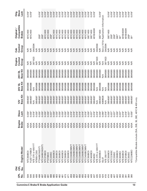| <b>OPL</b><br>$\overline{O}$<br><b>DE</b> |                                                               | Engine       | Slave     | 12V             | <b>24V SL</b> | <b>24V DL</b> | Control<br>Engine | Control<br>Cab | Compatible<br>Original /             | Slave<br>Orig. |
|-------------------------------------------|---------------------------------------------------------------|--------------|-----------|-----------------|---------------|---------------|-------------------|----------------|--------------------------------------|----------------|
| o<br>No<br>.<br>2                         | Engine Model                                                  | <b>Brake</b> | Lash      | <b>Base Kit</b> | Base Kit      | Base Kit      | Group             | Group          | <b>Brakes</b>                        | Lash           |
| 509                                       | NTC350BCII                                                    | 425A         | 0.030"    | 3804587         | 3804588       | 3804589       | $\frac{1}{2}$     | $\frac{1}{2}$  | 401C/400                             | $0.018$ "      |
| 506                                       | FLEET 270BCII                                                 | 425A         | 0.030"    | 3804587         | 3804588       | 3804589       | N/R               | <b>NR</b>      | 401C/400                             | $0.018$ "      |
| 500                                       | NTE 370 or 400 F/T                                            | 425A         | $0.018$ " | $\frac{4}{2}$   | $\frac{4}{2}$ | 3804589       | 3871423           | 3042594        |                                      |                |
| 499                                       | NT855-C250                                                    | 425A         | 0.030"    | 3804587         | 3804588       | 3804589       | $\frac{1}{2}$     | $\frac{1}{2}$  |                                      |                |
| 498                                       | PT240BCIII(EXT)                                               | 425A         | 0.030"    | 3804587         | 3804588       | 3804589       | N/R               | $\frac{1}{2}$  | $25B*$                               | 0.018"         |
| 497                                       | VTC240BCIII(EXT)                                              | 425A         | 0.030"    | 3804587         | 3804588       | 3804589       | N/R               | <b>NR</b>      | $25B*$                               | 0.018"         |
| 492                                       | NTC270BCII                                                    | 425A         | 0.030"    | 3804587         | 3804588       | 3804589       | $\frac{1}{2}$     | $\frac{1}{2}$  | 401C/400                             | 0.018"         |
| 491                                       | PT270BCII                                                     | 425A         | 0.030"    | 3804587         | 3804588       | 3804589       | $\frac{1}{2}$     | $\frac{1}{2}$  | 401C/400                             | 0.018"         |
| 488                                       | NTC230SC                                                      | 425A         | $0.037$ " | 3804587         | 3804588       | 3804589       | N/R               | $\frac{1}{2}$  | $25B*$                               | 0.018"         |
| 485                                       | NTC300BCI                                                     | 425A         | 0.030"    | 3804587         | 3804588       | 3804589       | $\frac{1}{2}$     | <b>N/R</b>     | 401C/400                             | 0.018"         |
| 483                                       | NTC350BCII                                                    | 425A         | 0.030"    | 3804587         | 3804588       | 3804589       | $\frac{1}{2}$     | $\frac{1}{2}$  | 401C/400                             | 0.018"         |
| 482                                       | NTC350BCII                                                    | 425A         | 0.030"    | 3804587         | 3804588       | 3804589       | $\frac{1}{2}$     | $\frac{1}{2}$  | 401C/400                             | $0.018$ "      |
| 481                                       | NTC400BCII                                                    | 425A         | 0.030"    | 3804587         | 3804588       | 3804589       | $\frac{1}{2}$     | $\frac{R}{2}$  | 401C/400                             | $0.018$ "      |
| 473                                       | NTC290BCII                                                    | 425A         | 0.030"    | 3804587         | 3804588       | 3804589       | $\frac{1}{2}$     | $\frac{1}{2}$  | 401C/400                             | 0.018"         |
| 471                                       | NTC300BCII                                                    | 425A         | 0.030"    | 3804587         | 3804588       | 3804589       | $\frac{1}{2}$     | $\frac{1}{2}$  | 401C/400                             | $0.018$ "      |
| 459                                       | NTCC300BCIIMVT                                                | 425A         | 0.018"    | 3804587         | 3804588       | 3804589       | N/R               | <b>N/R</b>     | 401C/400                             | 0.018"         |
| 458                                       | NTCC350BCIIMVT                                                | 425A         | 0.018"    | 3804587         | 3804588       | 3804589       | $\sum$            | <b>N/R</b>     | 401C/400                             | 0.018"         |
| 457                                       | NTCC400BCIIMV                                                 | 425A         | 0.018"    | 3804587         | 3804588       | 3804589       | $\frac{1}{2}$     | <b>NR</b>      | 401C/400                             | 0.018"         |
| 456                                       | NTCC300BCIIMVT                                                | 425A         | 0.018"    | 3804587         | 3804588       | 3804589       | <b>N/R</b>        | $\frac{1}{2}$  | 401C/400                             | 0.018"         |
| 455                                       | NTCC350BCIIMVT                                                | 425A         | 0.018"    | 3804587         | 3804588       | 3804589       | $\sum$            | $\frac{R}{2}$  | 401C/400                             | 0.018"         |
| 454                                       | NTCC400BCIIMVT                                                | 425A         | $0.018$ " | 3804587         | 3804588       | 3804589       | N/R               | N/R            | 401C/400                             | 0.018"         |
| 450                                       | NTC350BCII                                                    | 425A         | 0.030"    | 3804587         | 3804588       | 3804589       | $\frac{1}{2}$     | $\frac{1}{2}$  | 30E*/400                             | 0.018"         |
| 449                                       | NTC400BCII                                                    | 425A         | $0.037$ " | 3804587         | 3804588       | 3804589       | $\frac{1}{2}$     | $\frac{1}{2}$  | 30E*/400                             | $0.018$ "      |
| 437                                       | <b>NT240SC</b>                                                | 425A         | $0.018$ " | 3804587         | 3804588       | 3804589       | N/R               | N/R            | HOOP/B LOB                           | $0.018$ "      |
| 435                                       | NTE 370 or 400 F/T                                            | 425A         | $0.018$ " | $\frac{4}{2}$   | $\frac{4}{2}$ | 3804589       | 3871423           | 3042594        |                                      |                |
| 433                                       | NTC300BCII                                                    | 425A         | 0.030"    | 3804587         | 3804588       | 3804589       | $\frac{1}{2}$     | $\frac{R}{2}$  | 30E*/400                             | 0.018"         |
| 424                                       | <b>SL07</b>                                                   | <b>A004</b>  | 0.090"    | 4089626         | $\leq$        | $\frac{1}{2}$ | $\frac{4}{2}$     |                | See p.16 for Application Information |                |
| 419                                       | NTE 350 F/T                                                   | 425A         | 0.018"    | $\frac{4}{2}$   | $\frac{4}{2}$ | 3804589       | 3871423           | 3042594        |                                      |                |
| 414                                       | NTC300BCII                                                    | 425A         | 0.030"    | 3804587         | 3804588       | 3804589       | $\frac{1}{2}$     | N/R            | 30E*/400                             | 0.018"         |
| 408                                       | NTCC230SC                                                     | 425A         | $0.037$ " | 3804587         | 3804588       | 3804589       | $\frac{1}{2}$     | $\frac{1}{2}$  | $25B*$                               | $0.018$ "      |
| 407                                       | NTC230SC                                                      | 425A         | $0.037$ " | 3804587         | 3804588       | 3804589       | $\frac{1}{2}$     | $\frac{1}{2}$  | $25B*$                               | $0.018$ "      |
| 402                                       | NTC290BCII                                                    | 425A         | 0.030"    | 3804587         | 3804588       | 3804589       | $\frac{1}{2}$     | $\frac{1}{2}$  | 30E*                                 | $0.018$ "      |
| 393                                       | NTC400BCI                                                     | 425A         | 0.037"    | 3804587         | 3804588       | 3804589       | $\frac{1}{2}$     | $\frac{1}{2}$  | $30*$                                | $0.018$ "      |
| 392                                       | NTE350BCII                                                    | 425A         | $0.018$ " | 3804587         | 3804588       | 3804589       | $\frac{1}{2}$     | $\frac{1}{2}$  | 401B/400H                            | 0.018"         |
| 391                                       | NTE370BCII                                                    | 425A         | $0.018$ " | 3804587         | 3804588       | 3804589       | $\frac{1}{2}$     | $\frac{1}{2}$  | 401B/400H                            | $0.018$ "      |
| 384                                       | NTC350SC                                                      | 425A         | $0.037$ " | 3804587         | 3804588       | 3804589       | $\frac{1}{2}$     | $\frac{1}{2}$  | $25B*$                               | 0.018"         |
| 380                                       | NTCC290BCI                                                    | 425A         | 0.030"    | 3804587         | 3804588       | 3804589       | $\frac{1}{2}$     | $\frac{1}{2}$  | $30*$                                | 0.018"         |
|                                           | *Compatible Models include 25A, 25B, 30, 30E, 401C & 400 only |              |           |                 |               |               |                   |                |                                      |                |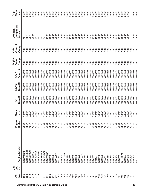|                                                  |                          | <b>DIO</b>    |                  |                        |                      |                 |                    |                    | Engine           | Cab              | Original /                  | Orig.         |
|--------------------------------------------------|--------------------------|---------------|------------------|------------------------|----------------------|-----------------|--------------------|--------------------|------------------|------------------|-----------------------------|---------------|
| <b>Cummins C Brake/E Brake Application Guide</b> | <b>PL</b><br><u>ş</u>    | 리<br>CPL<br>ġ | Engine Model     | Engine<br><b>Brake</b> | Slave<br><b>Lash</b> | Base Kit<br>12V | Base Kit<br>24V SL | Base Kit<br>24V DL | Control<br>Group | Control<br>Group | Compatible<br><b>Brakes</b> | Slave<br>Lash |
|                                                  | 254                      |               | NTC350BCI        | 425A                   | 0.030"               | 3804587         | 3804588            | 3804589            | $\frac{1}{2}$    | Ş                | $30*$                       | 0.018         |
|                                                  | 250                      |               | NTCC350BC        | 425A                   | 0.030"               | 3804587         | 3804588            | 3804589            | $\frac{1}{2}$    |                  | $30*$                       | $0.018$ "     |
|                                                  | 249                      |               | NTCC290BC        | 425A                   | 0.030"               | 3804587         | 3804588            | 3804589            | $\frac{1}{2}$    | $\frac{1}{2}$    | $30*$                       | $0.018$ "     |
|                                                  | 248                      |               | VTC350SC         | 425A                   | $-0.037$             | 3804587         | 3804588            | 3804589            | $\frac{1}{2}$    | Ş                | $25B*$                      | $0.018$ "     |
|                                                  | 233                      |               | NTC290BCI        | 425A                   | 030"                 | 3804587         | 3804588            | 3804589            | $\frac{1}{2}$    | $\frac{1}{2}$    | $30*$                       | $0.018$ "     |
|                                                  | 230                      |               | NTCE240BC        | 425A                   | 1,030"               | 3804587         | 3804588            | 3804589            | $\frac{1}{2}$    | ₩                | $30*$                       | $0.018$ "     |
|                                                  | 227                      |               | <b>NTC290BCI</b> | 425A                   | 0.030"               | 3804587         | 3804588            | 3804589            | $\frac{1}{2}$    | $\frac{1}{2}$    | $30*$                       | 0.018         |
|                                                  | 222                      |               | NTC250BCI        | 425A                   | 1.030"               | 3804587         | 3804588            | 3804589            | $\frac{1}{2}$    | $\frac{1}{2}$    | $30*$                       | 0.018"        |
|                                                  | 221                      |               | NTC250SC         | 425A                   | $0.037$ "            | 3804587         | 3804588            | 3804589            | $\frac{1}{2}$    | $\frac{1}{2}$    | $25B*$                      | $0.018$ "     |
|                                                  | 220                      |               | NTC230           | 425A                   | $0.037$ "            | 3804587         | 3804588            | 3804589            | $\frac{1}{2}$    | $\frac{1}{2}$    | $25B*$                      | 0.018"        |
|                                                  | 217                      |               | <b>VTC290</b>    | 425A                   | $-0.037$             | 3804587         | 3804588            | 3804589            | $\frac{1}{2}$    | $\frac{1}{2}$    | $25B*$                      | 0.018         |
|                                                  | 215                      |               | NTCE290          | 425A                   | $-0.037$             | 3804587         | 3804588            | 3804589            | $\frac{R}{2}$    | N/R              | $25B*$                      | $0.018$ "     |
|                                                  | 207                      |               | PT270            | 425A                   | $-0.037$             | 3804587         | 3804588            | 3804589            | $\frac{1}{2}$    | $\frac{1}{2}$    | $25B*$                      | 0.018"        |
|                                                  | 205                      |               | <b>NTA400</b>    | 425A                   | $-0.037$             | 3804587         | 3804588            | 3804589            | $\frac{1}{2}$    | $\frac{1}{2}$    | $25B*$                      | $0.018$ "     |
|                                                  | 204                      |               | NTCC350          | 425A                   | $-0.037$             | 3804587         | 3804588            | 3804589            | $\frac{1}{2}$    | $\frac{R}{2}$    | $25B*$                      | 0.018"        |
|                                                  | 199                      |               | NTC290           | 425A                   | $0.037$ "            | 3804587         | 3804588            | 3804589            | $\frac{1}{2}$    | $\frac{1}{2}$    | $25B*$                      | $0.018$ "     |
|                                                  | 198                      |               | NTC335           | 425A                   | $0.037$ "            | 3804587         | 3804588            | 3804589            | $\frac{1}{2}$    | $\frac{1}{2}$    | $25B*$                      | $0.018$ "     |
|                                                  | 197                      |               | <b>VTC335</b>    | 425A                   | $-0.037$             | 3804587         | 3804588            | 3804589            | $\frac{1}{2}$    | $\frac{1}{2}$    | $25B*$                      | 0.018"        |
|                                                  | 196                      |               | NTC350           | 425A                   | $-250.1$             | 3804587         | 3804588            | 3804589            | <b>N/R</b>       | N/R              | $25B*$                      | $0.018$ "     |
|                                                  | 194                      |               | <b>VTC290</b>    | 425A                   | $-0.037$             | 3804587         | 3804588            | 3804589            | $\frac{1}{2}$    | $\frac{1}{2}$    | $25B*$                      | 0.018"        |
|                                                  | 190                      |               | <b>NTCC335</b>   | 425A                   | $-0.037$             | 3804587         | 3804588            | 3804589            | $\frac{1}{2}$    | $\frac{1}{2}$    | $25B*$                      | $0.018$ "     |
|                                                  | 189                      |               | NTC250           | 425A                   | 0.037                | 3804587         | 3804588            | 3804589            | $\frac{1}{2}$    | $\frac{R}{2}$    | $25B*$                      | $0.018$ "     |
|                                                  | 188                      |               | NTC230           | 425A                   | $0.037$ "            | 3804587         | 3804588            | 3804589            | $\frac{1}{2}$    | $\frac{1}{2}$    | $25B*$                      | 0.018"        |
|                                                  | 187                      |               | <b>VTC290</b>    | 425A                   | $0.037$ "            | 3804587         | 3804588            | 3804589            | $\frac{1}{2}$    | $\frac{1}{2}$    | $25B*$                      | $0.018$ "     |
|                                                  | 182                      |               | <b>VTC335</b>    | 425A                   | $-0.037$             | 3804587         | 3804588            | 3804589            | $\frac{1}{2}$    | $\frac{1}{2}$    | $25B*$                      | 0.018"        |
|                                                  | 181                      |               | PT270            | 425A                   | $-0.037$             | 3804587         | 3804588            | 3804589            | $\frac{1}{2}$    | $\frac{1}{2}$    | $25B*$                      | 0.018"        |
|                                                  | 178                      |               | <b>VTC230</b>    | 425A                   | $-0.037$             | 3804587         | 3804588            | 3804589            | $\frac{1}{2}$    | $\frac{1}{2}$    | $25B*$                      | $0.018$ "     |
|                                                  | 176                      |               | <b>VTC250</b>    | 425A                   | $.037$ "             | 3804587         | 3804588            | 3804589            | $\frac{1}{2}$    | $\frac{1}{2}$    | $25B*$                      | 0.018"        |
|                                                  | 175                      |               | PT270            | 425A                   | $0.037$ "            | 3804587         | 3804588            | 3804589            | $\frac{1}{2}$    | $\frac{1}{2}$    | $25B*$                      | 0.018"        |
|                                                  | 160                      |               | <b>VTC350</b>    | 425A                   | $0.037$ "            | 3804587         | 3804588            | 3804589            | $\frac{1}{2}$    | $\frac{1}{2}$    | $25B*$                      | 0.018"        |
|                                                  | 154                      |               | <b>VTC350</b>    | 425A                   | $0.037$ "            | 3804587         | 3804588            | 3804589            | $\frac{1}{2}$    | $\frac{1}{2}$    | $25B*$                      | 0.018"        |
|                                                  | 147                      |               | <b>VTC350</b>    | 425A                   | $.037$ "             | 3804587         | 3804588            | 3804589            | $\frac{1}{2}$    | $\frac{1}{2}$    | $25B*$                      | 0.018"        |
|                                                  | 135                      |               | <b>NTA400</b>    | 425A                   | $.037$ "             | 3804587         | 3804588            | 3804589            | $\frac{1}{2}$    | $\frac{1}{2}$    | $25B*$                      | 0.018"        |
|                                                  | 132                      |               | <b>VTC335</b>    | 425A                   | $-0.037$             | 3804587         | 3804588            | 3804589            | $\frac{1}{2}$    | S                | $25B*$                      | 0.018"        |
|                                                  | $\overline{11}$          |               | <b>NHCT270</b>   | 425A                   | $-0.037$             | 3804587         | 3804588            | 3804589            | $\frac{1}{2}$    | $\frac{1}{2}$    | $25B*$                      | 0.018"        |
|                                                  | 115                      |               | NTC927           | 425A                   | $-0.037$             | 3804587         | 3804588            | 3804589            | $\frac{1}{2}$    | $\frac{1}{2}$    | $25B*$                      | $0.018$ "     |
|                                                  | 13                       |               | <b>NTC270</b>    | 425A                   | $-0.037$             | 3804587         | 3804588            | 3804589            | $\frac{R}{2}$    | $\frac{1}{2}$    | $25B*$                      | 0.018"        |
|                                                  | 107                      |               | <b>NTA400</b>    | 425A                   | $0.037$ "            | 3804587         | 3804588            | 3804589            | $\frac{1}{2}$    | $\frac{1}{2}$    |                             |               |
| 15                                               | $\overline{5}$           |               | <b>VTC290</b>    | 425A                   | $-0.037$             | 3804587         | 3804588            | 3804589            | $\frac{1}{2}$    | $\frac{1}{2}$    | $25B*$                      | 0.018         |
|                                                  | $\overline{\phantom{0}}$ |               | NHTC270          | 425A                   | $0.037$ "            | 3804587         | 3804588            | 3804589            | $\frac{1}{2}$    | $\frac{1}{2}$    | 25B*                        | $0.018$ "     |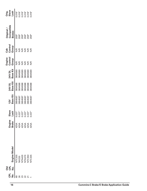|           | <b>DIO</b> |                                               |                                       |             |          |                                                                            |                                          | Engine           | Cab           |                          |                        |
|-----------|------------|-----------------------------------------------|---------------------------------------|-------------|----------|----------------------------------------------------------------------------|------------------------------------------|------------------|---------------|--------------------------|------------------------|
|           | CPL<br>No. |                                               |                                       | Slave       |          | <b>1S Abz</b>                                                              |                                          |                  | Control       | Original /<br>Compatible | Orig.<br>Slave<br>Lash |
| ដូំ ខ្ញុំ |            | Engine Model                                  | Engine<br>Brake                       | <b>Lash</b> | Base Kir | <b>Nase Kit</b>                                                            | 24V DL<br>Base Kit                       | Control<br>Group | Group         | <b>Brakes</b>            |                        |
|           |            | <b>ITC335</b>                                 | 425A                                  | $0.037$ "   | 804587   | 8804588                                                                    | 8804589                                  | LR<br>S          |               | $25B*$                   |                        |
| Š         |            |                                               |                                       | $0.037$ "   | 3804587  |                                                                            |                                          | \€               |               | $25B*$                   |                        |
|           |            | NH230<br>NTA420<br>NTA370<br>NTC350<br>NTC335 | 4 4 4 4 4<br>4 4 4 4 4 4<br>4 4 4 4 4 | $0.037$ "   | 3804587  | $\begin{array}{c} 3804588 \\ 3804588 \\ 3804588 \\ 3804588 \\ \end{array}$ | 3804589<br>3804589<br>3804589<br>3804589 | SR)              |               | $25B*$                   |                        |
|           |            |                                               |                                       | $0.037$ "   | 3804587  |                                                                            |                                          | Ś                |               |                          |                        |
|           |            |                                               |                                       | 0.037"      | 3804587  |                                                                            |                                          | <b>NR</b>        | $\frac{1}{2}$ | $25B*$<br>$25B*$         |                        |
|           |            |                                               |                                       | 0.037       | 3804587  | 8804588                                                                    | 3804589                                  | $\frac{1}{2}$    | $\frac{1}{2}$ | $25B*$                   |                        |
|           |            |                                               |                                       |             |          |                                                                            |                                          |                  |               |                          |                        |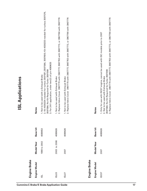| Engine Brake  |                   |                 |                                                                                                                                                                                                                                                                     |
|---------------|-------------------|-----------------|---------------------------------------------------------------------------------------------------------------------------------------------------------------------------------------------------------------------------------------------------------------------|
| Engine Model  | <b>Model</b> Year | Base kit        | <b>Notes</b>                                                                                                                                                                                                                                                        |
| $\frac{1}{2}$ | 1998 to 2002      | 4089653         | 2. Kit 4030234 needed for turbos 3597581,3597586, 3597600; Kit 4030233 needed for turbos 3597576,<br>3. For 24V application, order two(2) of p/n 4089625<br>3597584; No Kit Required for Turbo 3597099<br>1. Not to be used with a Exhaust Brake                    |
| ISL03         | 2003 to 2006      | 4089626         | 2. Replace Valve Cover 3967770 with 3967777, 3967763 with 3967773, or 3967766 with 3967776<br>1. Not to be used with Exhaust Brake                                                                                                                                  |
| ISL07         | 2007              | 4089626         | 2. Replace Valve Cover 3967770 with 3967777, 3967763 with 3967773, or 3967766 with 3967776<br>1. Not to be used with Exhaust Brake                                                                                                                                  |
|               |                   |                 |                                                                                                                                                                                                                                                                     |
| Engine Brake  |                   |                 |                                                                                                                                                                                                                                                                     |
| Engine Model  | <b>Model</b> Year | <b>Base kit</b> | <b>Notes</b>                                                                                                                                                                                                                                                        |
| ISC07         | 2007              | 4089626         | 3. Replace Valve Cover 3967770 with 3967777, 3967763 with 3967773, or 3967766 with 3967776<br>1. Only for use with ISC07 engine, cannot be used with ISC models prior to 2007<br>3597584; No Kit Required for Turbo 3597099<br>2. Not to be used with Exhaust Brake |

## **ISL Applications ISL Applications**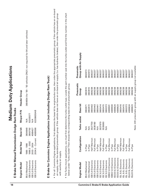## **Medium Duty Applications Medium Duty Applications**

# **E** Brake for Manual Transmission Dodge Ram Trucks **Brake for ManualTransmission Dodge RamTrucks**

| Engine Model       | <b>Vlodel Year</b>       |         |            | Base kit Mopar P/N Header Group                                               |
|--------------------|--------------------------|---------|------------|-------------------------------------------------------------------------------|
| 35.9 Mechanical    | 989 - 1998               | 3804848 |            | 8804854 (for '89 - '93 vehicles ONLY; not required for 94 and later vehicles) |
| ISB 5.9 Electronic | 1998.5 - 2002            | 3800792 | 82205577   |                                                                               |
| ISB 5.9 Electronic | 2003 - 2004              | 4089427 |            |                                                                               |
| ISB 5.9 Electronic | 2004.5 - Current 4089598 |         | 82208835AB |                                                                               |

# **E** Brake for Cummins Engine Applications (not including Dodge Ram Truck) **Brake for Cummins Engine Applications (not including Dodge RamTruck)**

- For all Cummins Engine applications, first determine the base kit by engine/turbo type, then order the appropriate pneumatic group. If the vehicle has an on-board • For all Cummins Engine applications, first determine the base kit by engine/turbo type, then order the appropriate pneumatic group. If the vehicle has an on-board air supply, order the standard pneumatic group. If the vehicle does not have an on-board air supply (i.e. has hydraulic brakes), then order the pneumatic group air supply, order the standard pneumatic group. If the vehicle does not have an on-board air supply (i.e. has hydraulic brakes), then order the pneumatic group with auxiliary air supply. with auxiliary air supply.
- $\bullet$  For Turbo-mount applications, you must first determine the turbo outlet type. Locate the part number cast into the turbo outlet and find the number in the chart • For Turbo-mount applications, you must first determine the turbo outlet type. Locate the part number cast into the turbo outlet and find the number in the chart below under "Turbo Outlet". Then choose the corresponding base kit and pneumatic group. below under "Turbo Outlet". Then choose the corresponding base kit and pneumatic group.

| Engine Model                                                                                 | Configuration          | Turbo outlet                     | Base kit | Pneumatic<br>Group                                            | Group with Air Supply<br>Pneumatic |
|----------------------------------------------------------------------------------------------|------------------------|----------------------------------|----------|---------------------------------------------------------------|------------------------------------|
| <b>B5.9 Mechanical</b>                                                                       | In Pipe                |                                  | 3802671  | 3803910                                                       | 3802673                            |
| C8.3 Mechanical                                                                              | In Pipe                |                                  | 3802672  | 3803910                                                       | 3802673                            |
| ISB 5.9 Electronic                                                                           | Half Marmon            | N/A<br>N/A<br>3527759<br>3538180 | 3800442  | 3806238                                                       | 3806237                            |
| <b>ISB 5.9 Electronic</b>                                                                    | Full Marmon            |                                  | 3800443  | 3806238                                                       | 3806237                            |
| ISB 5.9 Electronic                                                                           | In Pipe                | N/A                              | 3800441  | 3806238                                                       | 3806237                            |
| ISC 8.3 Electronic                                                                           | Half Marmon            | 3537979                          | 3800414  | 3806238                                                       | 3806237                            |
| ISC 8.3 Electronic                                                                           | Full Marmon            | 3539060                          | 3800415  | 3806238                                                       | 3806237                            |
| <b>ISC 8.3 Electronic</b>                                                                    |                        | $\frac{8}{2}$                    | 3800372  | 3806238                                                       | 3806237                            |
|                                                                                              | In Pipe<br>Full Marmon |                                  | 1089591  | 3806238                                                       | 3806237                            |
|                                                                                              | In-Pipe                |                                  | 4089593  | 3806238                                                       | 3806237                            |
| ISB02 5.9 Electronic<br>ISB02 5.9 Electronic<br>ISC03 8.3 Electronic<br>ISC03 8.3 Electronic | Full Marmon            |                                  | 4089624  | 3806238                                                       | 3806237                            |
|                                                                                              | In-Pipe                |                                  | 1089623  | 3806238                                                       | 3806237                            |
|                                                                                              | Half Marmon            |                                  | 3800416  | 3806238                                                       | 3806237                            |
| ISL 9.0L Electronic<br>ISL 9.0L Electronic<br>ISL 9.0L Electronic                            | Full Marmon            |                                  | 3800415  | 3806238                                                       | 3806237                            |
|                                                                                              | In-Pipe                |                                  | 3800372  | 3806238                                                       | 3806237                            |
| <b>ISL03 9L Electronic</b>                                                                   | Full Marmon            |                                  | 4089624  | 3806238                                                       | 3806237                            |
| ISL03 9L Electronic                                                                          | In-Pipe                |                                  | 1089623  | 3806238                                                       | 3806237                            |
|                                                                                              |                        |                                  |          | Note: 24V pneumatic group with air supply group not available |                                    |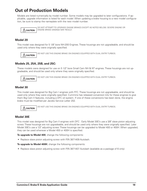### **Out of Production Models**

Models are listed numerically by model number. Some models may be upgraded to later configurations. If applicable, upgrade information is listed for each model. When updating a brake housing to a new model configuration, be sure to stamp the nameplate with the new model number.



Do not attempt to upgrade engine brakes except as noted below. Severe engine or engine brake damage may result.

### **Model 20**

This model was designed for 5 1/8" bore NH-200 Engines. These housings are not upgradeable, and should be used only where they were originally specified.



DO NOT USE THIS ENGINE BRAKE ON ENGINES EQUIPPED WITH DUAL ENTRY TURBOS.

### **Models 25, 25A, 25B, and 25C:**

These models were designed for use on 5 1/2" bore Small Cam NH & NT engines. These housings are not upgradeable, and should be used only where they were originally specified.



DO NOT USE THIS ENGINE BRAKE ON ENGINES EQUIPPED WITH DUAL ENTRY TURBOS.

### **Model 30**

This model was designed for Big Cam I engines with FFC. These housings are not upgradeable, and should be used only where they were originally specified. Cummins has released conversion kits for these engines to give them Big Cam II features, including a DFC oil system. If one of these conversions has been done, the engine brake must be modified per Jacobs Service Letter 202.



DO NOT USE THIS ENGINE BRAKE ON ENGINES EQUIPPED WITH DUAL ENTRY TURBOS.

### **Model 30E**

This model was designed for Big Cam II engines with DFC . Early Model 30E's use a 3/8" slave piston adjusting screw. These housings are not upgradeable, and should be used only where they were originally specified. Later Model 30E's use a 1/2" adjusting screw. These housings can be upgraded to Model 400 or 400H. When upgraded, they can be used wherever a Model 400 or 400H is specified.

**To upgrade to Model 400**, change the following components:

• Replace slave piston adjusting screw with P/N 3871409 Autolash.

**To upgrade to Model 400H**, change the following components:

• Replace slave piston adjusting screw with P/N 3871407 Autolash (available as a package of 6 only).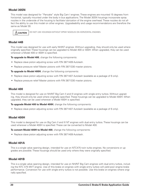### **Model 30SN**

This model was designed for "Pancake" style Big Cam I engines. These engines are mounted 15 degrees from horizontal, typically mounted under the body in bus applications. The Model 30SN housings incorporate spray nozzles in the underside of the housing to facilitate lubrication of the engine overhead. These nozzles do not affect the ability to use this model on other engines. Upgradeability and usage recommendations are therefore the same as Model 30.

 $\Lambda$  CAUTION

Do not use housings without spray nozzles on horizontal engines.

### **Model 44B**

This model was designed for use with early NH/NT engines. Without upgrading, they should only be used where originally specified. These housings can be upgraded to Model 400 or 400H. When upgraded, they can be used wherever a Model 400 or 400H is specified.

**To upgrade to Model 400**, change the following components:

- Replace slave piston adjusting screw with P/N 3871409 Autolash.
- Replace pressure relief Master pistons with P/N 3871330 master pistons.

**To upgrade to Model 400H**, change the following components:

- Replace slave piston adjusting screw with P/N 3871407 Autolash (available as a package of 6 only).
- Replace pressure relief Master pistons with P/N 3871330 master pistons.

### **Model 400**

This model is designed for use on NH/NT Big Cam II and III engines with single entry turbos. Without upgrading, they should only be used where originally specified. These housings can be upgraded to Model 400H. When upgraded, they can be used wherever a Model 400H is specified.

**To upgrade Model 400 to Model 400H**, change the following components:

• Replace slave piston adjusting screw with P/N 3871407 Autolash (available as a package of 6 only).

### **Model 400H**

This model is designed for use on Big Cam II and III NT engines with dual entry turbos. These housings can be used wherever a Model 400H is specified. These can be converted to Model 400.

**To convert Model 400H to Model 400**, change the following components:

• Replace slave piston adjusting screw with P/N 3871409 Autolash.

### **Model 401A**

This is a single valve opening design, intended for use on NTC475 twin turbo engines. No conversions or upgrades are possible. These housings should be used only where they were originally specified.

### **Model 401B**

This is a single valve opening design, intended for use on NH/NT Big Cam engines with dual entry turbos, including the NTC 475 MVT engine. Use of this brake on engines with single entry turbos will yield poor engine brake performance. Conversion for use with single entry turbos is not possible. Use this brake on engines where originally specified.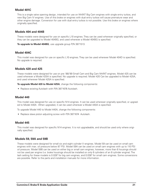### **Model 401C**

This is a single valve opening design, intended for use on NH/NT Big Cam engines with single entry turbos, and new Big Cam IV engines. Use of this brake on engines with dual entry turbos will cause premature wear and other engine damage. Conversion for use with dual entry turbos is not possible. Use this brake on engines where originally specified.

### **Models 404 and 404B**

These models were designed for use on specific L10 engines. They can be used wherever originally specified, or they can be upgraded to Model 404BG, and used wherever a Model 404BG is specified.

**To upgrade to Model 404BG**, use upgrade group P/N 3871513.

### **Model 404C**

This model was designed for use on specific L10 engines. They can be used wherever Model 404D is specified. No upgrade is required.

### **Models 420 and 425**

These models were designed for use on pre '88/'89 Small Cam and Big Cam NH/NT engines. Model 425 can be used wherever a Model 425A is specified. No upgrade is required. Model 420 Can be upgraded to Model 425A, and used wherever Model 425A is specified.

**To upgrade Model 420 to Model 425A**, change the following components:

• Replace existing Autolash with P/N 3871676 Autolash.

### **Model 440**

This model was designed for use on specific N14 engines. It can be used wherever originally specified, or upgraded to Model 440A . When upgraded, it can be used wherever a Model 440A is specified.

To upgrade Model 440 to Model 440A, change the following components:

• Replace slave piston adjusting screw with P/N 3871674 Autolash.

### **Model 445**

This model was designed for specific N14 engines. It is not upgradeable, and should be used only where originally specified.

### **Models 59, 59A and 59B**

These models were designed for small six and eight cylinder V–engines. Model 59 can be used on small cam engines with max. oil pressure below 87 PSI. Model 59A can be used on small cam engines with up to 110 PSI oil pressure. Model 59B can be used on either big or small cam engines, however, more than 6 housings should not be used per engine (i.e. brake housings should be installed on only 6 cylinders of an 8 cylinder engine). The lash setting for these models is 0.028" for big cam engines, and 0.038" for small cam engines. Some conversions are possible. Refer to the parts and installation manuals for more information.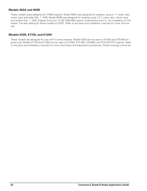### **Models 903A and 903B**

These models were designed for VT903 engines. Model 903A was designed for engines using a 1:1 rocker ratio, which were built after Feb. 1, 1976. Model 903B was designed for engines using 1.2:1 rocker ratio, which were built before Feb. 1, 1976. Engines built prior to S/N 10951093 require modifications prior to the installation of the brakes. The lash setting for these models is 0.023". Refer to the parts and installation manuals for more information.

### **Models K200, K1150, and K1200**

These models are designed for use with K series engines. Model K200 can be used on KT-450 and KTA-600 engines only. Models K1150 and K1200 can be used on KT-450, KTC-450, KTA-600, and KTA-525 PTD engines. Refer to the parts and installation manuals for more information and adjustment procedures. These housings cannot be